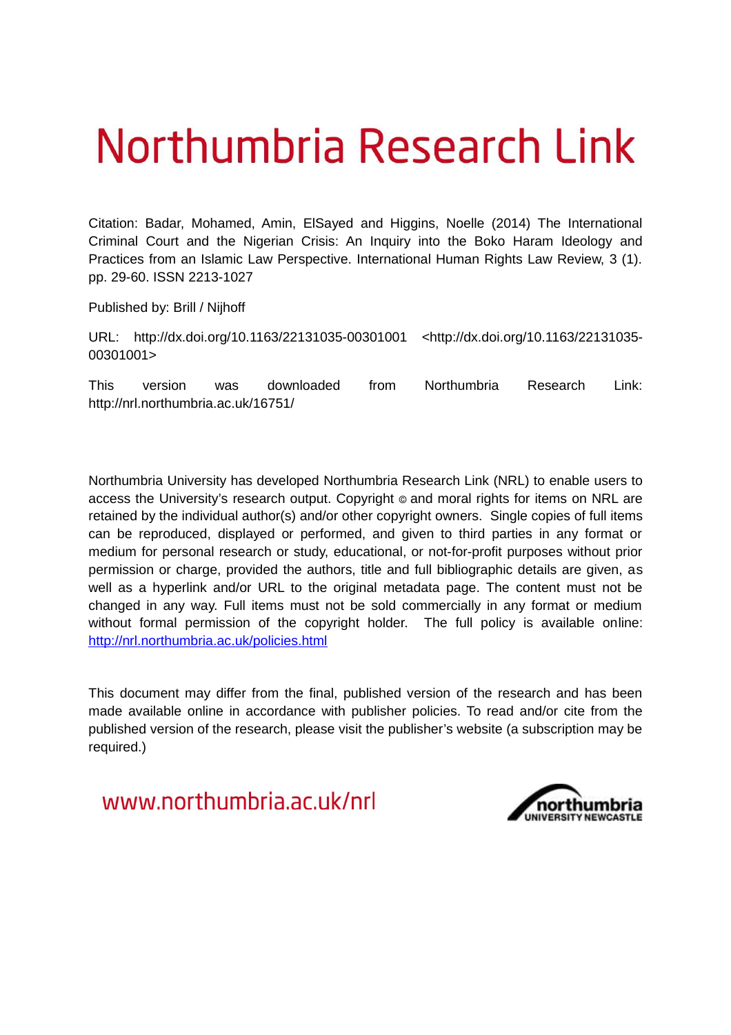# Northumbria Research Link

Citation: Badar, Mohamed, Amin, ElSayed and Higgins, Noelle (2014) The International Criminal Court and the Nigerian Crisis: An Inquiry into the Boko Haram Ideology and Practices from an Islamic Law Perspective. International Human Rights Law Review, 3 (1). pp. 29-60. ISSN 2213-1027

Published by: Brill / Nijhoff

URL: http://dx.doi.org/10.1163/22131035-00301001 <http://dx.doi.org/10.1163/22131035- 00301001>

This version was downloaded from Northumbria Research Link: http://nrl.northumbria.ac.uk/16751/

Northumbria University has developed Northumbria Research Link (NRL) to enable users to access the University's research output. Copyright  $\circ$  and moral rights for items on NRL are retained by the individual author(s) and/or other copyright owners. Single copies of full items can be reproduced, displayed or performed, and given to third parties in any format or medium for personal research or study, educational, or not-for-profit purposes without prior permission or charge, provided the authors, title and full bibliographic details are given, as well as a hyperlink and/or URL to the original metadata page. The content must not be changed in any way. Full items must not be sold commercially in any format or medium without formal permission of the copyright holder. The full policy is available online: <http://nrl.northumbria.ac.uk/policies.html>

This document may differ from the final, published version of the research and has been made available online in accordance with publisher policies. To read and/or cite from the published version of the research, please visit the publisher's website (a subscription may be required.)

www.northumbria.ac.uk/nrl

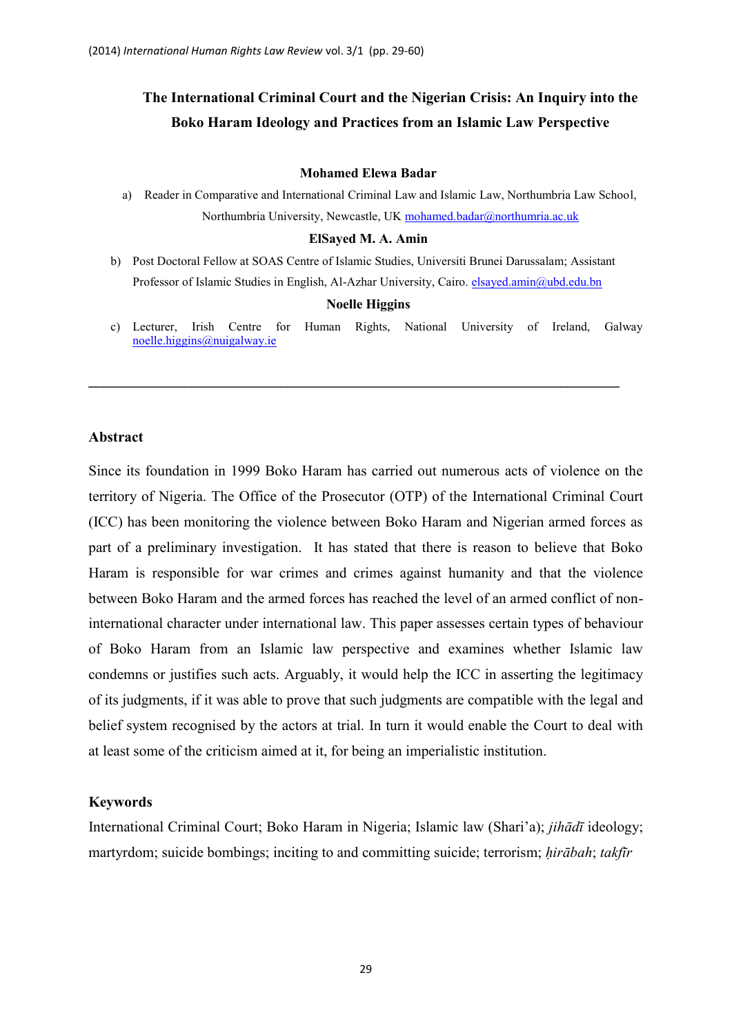# **The International Criminal Court and the Nigerian Crisis: An Inquiry into the Boko Haram Ideology and Practices from an Islamic Law Perspective**

#### **Mohamed Elewa Badar**

a) Reader in Comparative and International Criminal Law and Islamic Law, Northumbria Law School, Northumbria University, Newcastle, UK mohamed.badar@northumria.ac.uk

#### **ElSayed M. A. Amin**

b) Post Doctoral Fellow at SOAS Centre of Islamic Studies, Universiti Brunei Darussalam; Assistant Professor of Islamic Studies in English, Al-Azhar University, Cairo[. elsayed.amin@ubd.edu.bn](mailto:elsayed.amin@ubd.edu.bn)

#### **Noelle Higgins**

**\_\_\_\_\_\_\_\_\_\_\_\_\_\_\_\_\_\_\_\_\_\_\_\_\_\_\_\_\_\_\_\_\_\_\_\_\_\_\_\_\_\_\_\_\_\_\_\_\_\_\_\_\_\_\_\_\_\_\_\_\_\_\_\_\_\_\_\_\_\_\_\_** 

c) Lecturer, Irish Centre for Human Rights, National University of Ireland, Galway [noelle.higgins@nuigalway.ie](mailto:noelle.higgins@nuigalway.ie) 

#### **Abstract**

Since its foundation in 1999 Boko Haram has carried out numerous acts of violence on the territory of Nigeria. The Office of the Prosecutor (OTP) of the International Criminal Court (ICC) has been monitoring the violence between Boko Haram and Nigerian armed forces as part of a preliminary investigation. It has stated that there is reason to believe that Boko Haram is responsible for war crimes and crimes against humanity and that the violence between Boko Haram and the armed forces has reached the level of an armed conflict of noninternational character under international law. This paper assesses certain types of behaviour of Boko Haram from an Islamic law perspective and examines whether Islamic law condemns or justifies such acts. Arguably, it would help the ICC in asserting the legitimacy of its judgments, if it was able to prove that such judgments are compatible with the legal and belief system recognised by the actors at trial. In turn it would enable the Court to deal with at least some of the criticism aimed at it, for being an imperialistic institution.

#### **Keywords**

International Criminal Court; Boko Haram in Nigeria; Islamic law (Shari'a); *jihādī* ideology; martyrdom; suicide bombings; inciting to and committing suicide; terrorism; *hirābah*; *takfīr*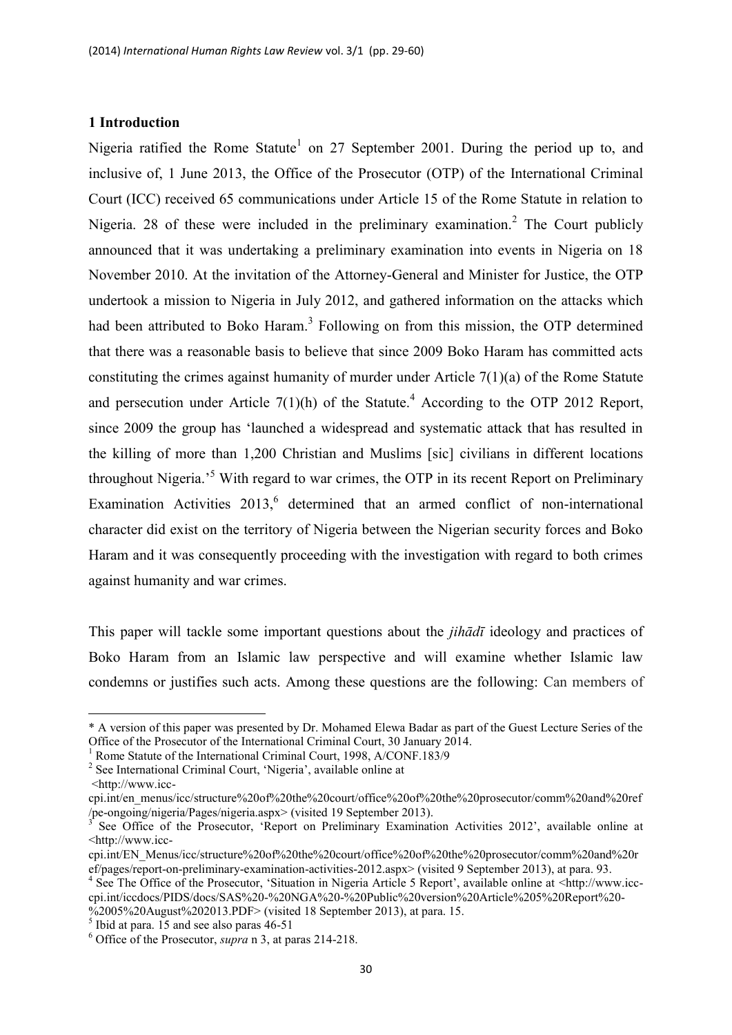#### **1 Introduction**

Nigeria ratified the Rome Statute<sup>1</sup> on 27 September 2001. During the period up to, and inclusive of, 1 June 2013, the Office of the Prosecutor (OTP) of the International Criminal Court (ICC) received 65 communications under Article 15 of the Rome Statute in relation to Nigeria. 28 of these were included in the preliminary examination.<sup>2</sup> The Court publicly announced that it was undertaking a preliminary examination into events in Nigeria on 18 November 2010. At the invitation of the Attorney-General and Minister for Justice, the OTP undertook a mission to Nigeria in July 2012, and gathered information on the attacks which had been attributed to Boko Haram.<sup>3</sup> Following on from this mission, the OTP determined that there was a reasonable basis to believe that since 2009 Boko Haram has committed acts constituting the crimes against humanity of murder under Article 7(1)(a) of the Rome Statute and persecution under Article  $7(1)(h)$  of the Statute.<sup>4</sup> According to the OTP 2012 Report, since 2009 the group has 'launched a widespread and systematic attack that has resulted in the killing of more than 1,200 Christian and Muslims [sic] civilians in different locations throughout Nigeria.<sup>5</sup> With regard to war crimes, the OTP in its recent Report on Preliminary Examination Activities  $2013$ , determined that an armed conflict of non-international character did exist on the territory of Nigeria between the Nigerian security forces and Boko Haram and it was consequently proceeding with the investigation with regard to both crimes against humanity and war crimes.

This paper will tackle some important questions about the *jihādī* ideology and practices of Boko Haram from an Islamic law perspective and will examine whether Islamic law condemns or justifies such acts. Among these questions are the following: Can members of

<sup>\*</sup> A version of this paper was presented by Dr. Mohamed Elewa Badar as part of the Guest Lecture Series of the Office of the Prosecutor of the International Criminal Court, 30 January 2014.

<sup>1</sup> Rome Statute of the International Criminal Court, 1998, A/CONF.183/9

<sup>&</sup>lt;sup>2</sup> See International Criminal Court, 'Nigeria', available online at

 <sup>&</sup>lt;http://www.icc-

cpi.int/en\_menus/icc/structure%20of%20the%20court/office%20of%20the%20prosecutor/comm%20and%20ref /pe-ongoing/nigeria/Pages/nigeria.aspx> (visited 19 September 2013).

<sup>3</sup> See Office of the Prosecutor, 'Report on Preliminary Examination Activities 2012', available online at <http://www.icc-

cpi.int/EN\_Menus/icc/structure%20of%20the%20court/office%20of%20the%20prosecutor/comm%20and%20r ef/pages/report-on-preliminary-examination-activities-2012.aspx> (visited 9 September 2013), at para. 93.

<sup>&</sup>lt;sup>4</sup> See The Office of the Prosecutor, 'Situation in Nigeria Article 5 Report', available online at <http://www.icccpi.int/iccdocs/PIDS/docs/SAS%20-%20NGA%20-%20Public%20version%20Article%205%20Report%20-  $\frac{\sqrt{2005}}{\sqrt{2005}}$  20August%202013.PDF> (visited 18 September 2013), at para. 15.

<sup>5</sup> Ibid at para. 15 and see also paras 46-51

<sup>6</sup> Office of the Prosecutor, *supra* n 3, at paras 214-218.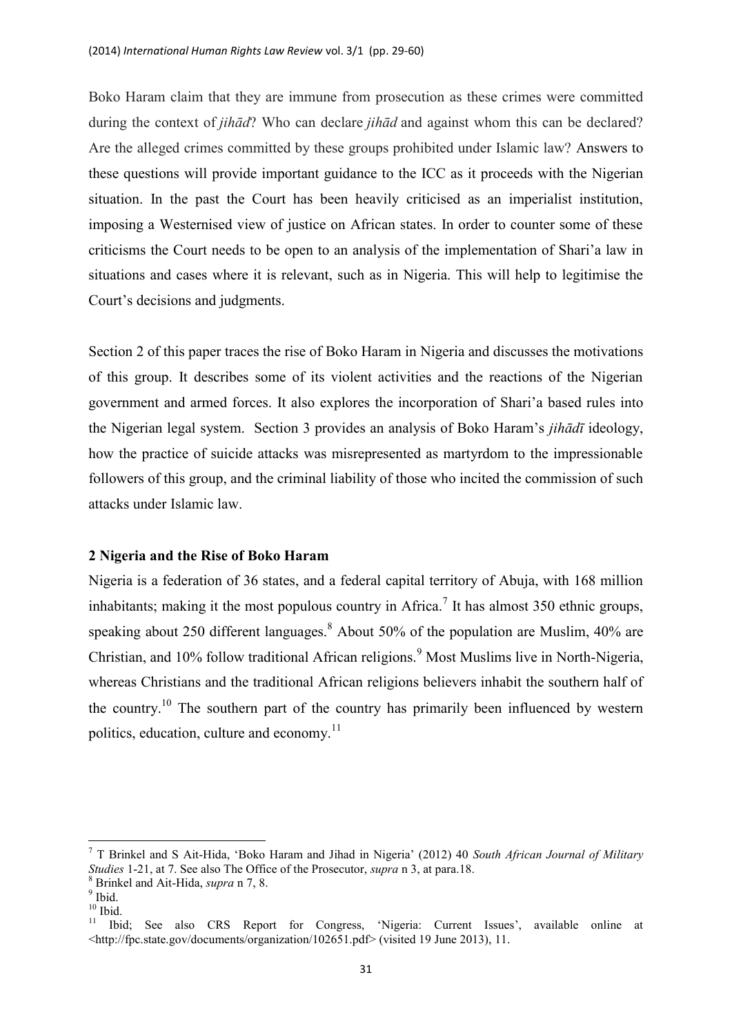Boko Haram claim that they are immune from prosecution as these crimes were committed during the context of *jihād*? Who can declare *jihād* and against whom this can be declared? Are the alleged crimes committed by these groups prohibited under Islamic law? Answers to these questions will provide important guidance to the ICC as it proceeds with the Nigerian situation. In the past the Court has been heavily criticised as an imperialist institution, imposing a Westernised view of justice on African states. In order to counter some of these criticisms the Court needs to be open to an analysis of the implementation of Shari'a law in situations and cases where it is relevant, such as in Nigeria. This will help to legitimise the Court's decisions and judgments.

Section 2 of this paper traces the rise of Boko Haram in Nigeria and discusses the motivations of this group. It describes some of its violent activities and the reactions of the Nigerian government and armed forces. It also explores the incorporation of Shari'a based rules into the Nigerian legal system. Section 3 provides an analysis of Boko Haram's *jihādī* ideology, how the practice of suicide attacks was misrepresented as martyrdom to the impressionable followers of this group, and the criminal liability of those who incited the commission of such attacks under Islamic law.

## **2 Nigeria and the Rise of Boko Haram**

Nigeria is a federation of 36 states, and a federal capital territory of Abuja, with 168 million inhabitants; making it the most populous country in Africa.<sup>7</sup> It has almost 350 ethnic groups, speaking about 250 different languages. $8$  About 50% of the population are Muslim, 40% are Christian, and 10% follow traditional African religions.<sup>9</sup> Most Muslims live in North-Nigeria, whereas Christians and the traditional African religions believers inhabit the southern half of the country.<sup>10</sup> The southern part of the country has primarily been influenced by western politics, education, culture and economy.<sup>11</sup>

.<br>-

<sup>7</sup> T Brinkel and S Ait-Hida, 'Boko Haram and Jihad in Nigeria' (2012) 40 *South African Journal of Military Studies* 1-21, at 7. See also The Office of the Prosecutor, *supra* n 3, at para.18.

<sup>8</sup> Brinkel and Ait-Hida, *supra* n 7, 8.

<sup>&</sup>lt;sup>9</sup> Ibid.

 $10$  Ibid.

<sup>&</sup>lt;sup>11</sup> Ibid: See also CRS Report for Congress, 'Nigeria: Current Issues', available online at <http://fpc.state.gov/documents/organization/102651.pdf> (visited 19 June 2013), 11.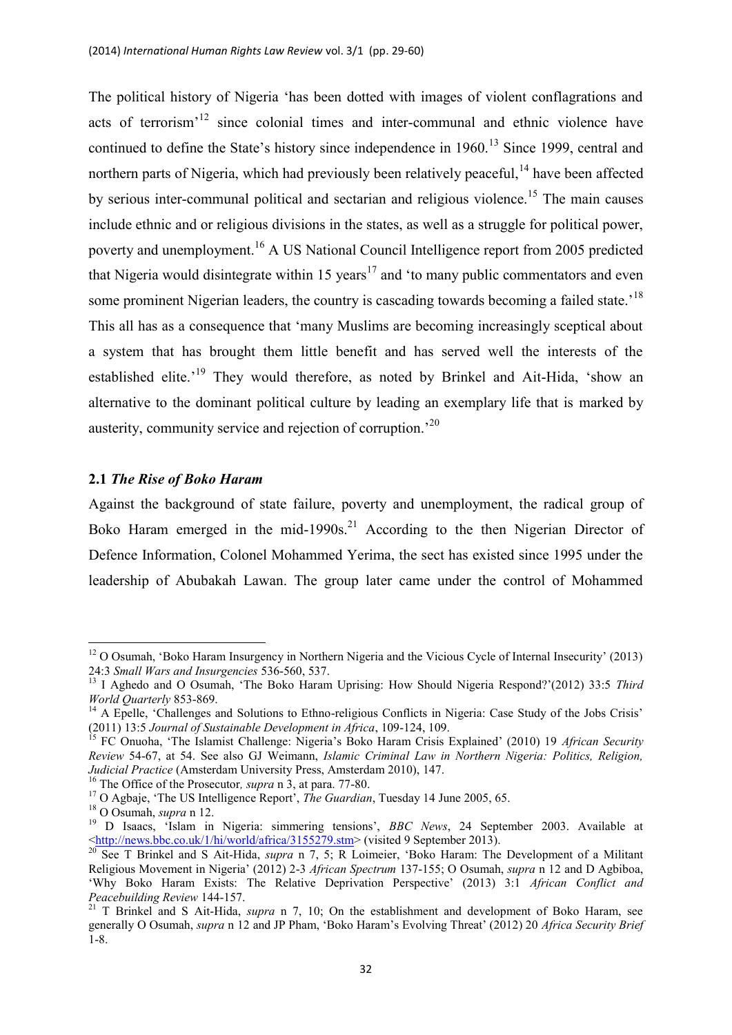The political history of Nigeria 'has been dotted with images of violent conflagrations and acts of terrorism<sup>'12</sup> since colonial times and inter-communal and ethnic violence have continued to define the State's history since independence in 1960.<sup>13</sup> Since 1999, central and northern parts of Nigeria, which had previously been relatively peaceful,  $14$  have been affected by serious inter-communal political and sectarian and religious violence.<sup>15</sup> The main causes include ethnic and or religious divisions in the states, as well as a struggle for political power, poverty and unemployment.<sup>16</sup> A US National Council Intelligence report from 2005 predicted that Nigeria would disintegrate within 15 years<sup>17</sup> and 'to many public commentators and even some prominent Nigerian leaders, the country is cascading towards becoming a failed state.<sup>18</sup> This all has as a consequence that 'many Muslims are becoming increasingly sceptical about a system that has brought them little benefit and has served well the interests of the established elite.<sup>19</sup> They would therefore, as noted by Brinkel and Ait-Hida, 'show an alternative to the dominant political culture by leading an exemplary life that is marked by austerity, community service and rejection of corruption.<sup> $20$ </sup>

# **2.1** *The Rise of Boko Haram*

Against the background of state failure, poverty and unemployment, the radical group of Boko Haram emerged in the mid-1990s.<sup>21</sup> According to the then Nigerian Director of Defence Information, Colonel Mohammed Yerima, the sect has existed since 1995 under the leadership of Abubakah Lawan. The group later came under the control of Mohammed

<sup>&</sup>lt;sup>12</sup> O Osumah, 'Boko Haram Insurgency in Northern Nigeria and the Vicious Cycle of Internal Insecurity' (2013) 24:3 *Small Wars and Insurgencies* 536-560, 537.

<sup>13</sup> I Aghedo and O Osumah, 'The Boko Haram Uprising: How Should Nigeria Respond?'(2012) 33:5 *Third World Quarterly* 853-869.

<sup>&</sup>lt;sup>14</sup> A Epelle, 'Challenges and Solutions to Ethno-religious Conflicts in Nigeria: Case Study of the Jobs Crisis' (2011) 13:5 *Journal of Sustainable Development in Africa*, 109-124, 109.

<sup>15</sup> FC Onuoha, 'The Islamist Challenge: Nigeria's Boko Haram Crisis Explained' (2010) 19 *African Security Review* 54-67, at 54. See also GJ Weimann, *Islamic Criminal Law in Northern Nigeria: Politics, Religion, Judicial Practice* (Amsterdam University Press, Amsterdam 2010), 147.

<sup>16</sup> The Office of the Prosecutor*, supra* n 3, at para. 77-80.

<sup>17</sup> O Agbaje, 'The US Intelligence Report', *The Guardian*, Tuesday 14 June 2005, 65.

<sup>18</sup> O Osumah, *supra* n 12.

<sup>19</sup> D Isaacs, 'Islam in Nigeria: simmering tensions', *BBC News*, 24 September 2003. Available at [<http://news.bbc.co.uk/1/hi/world/africa/3155279.stm>](http://news.bbc.co.uk/1/hi/world/africa/3155279.stm) (visited 9 September 2013).

<sup>20</sup> See T Brinkel and S Ait-Hida, *supra* n 7, 5; R Loimeier, 'Boko Haram: The Development of a Militant Religious Movement in Nigeria' (2012) 2-3 *African Spectrum* 137-155; O Osumah, *supra* n 12 and D Agbiboa, 'Why Boko Haram Exists: The Relative Deprivation Perspective' (2013) 3:1 *African Conflict and Peacebuilding Review* 144-157.

<sup>&</sup>lt;sup>21</sup> T Brinkel and S Ait-Hida, *supra* n 7, 10; On the establishment and development of Boko Haram, see generally O Osumah, *supra* n 12 and JP Pham, 'Boko Haram's Evolving Threat' (2012) 20 *Africa Security Brief* 1-8.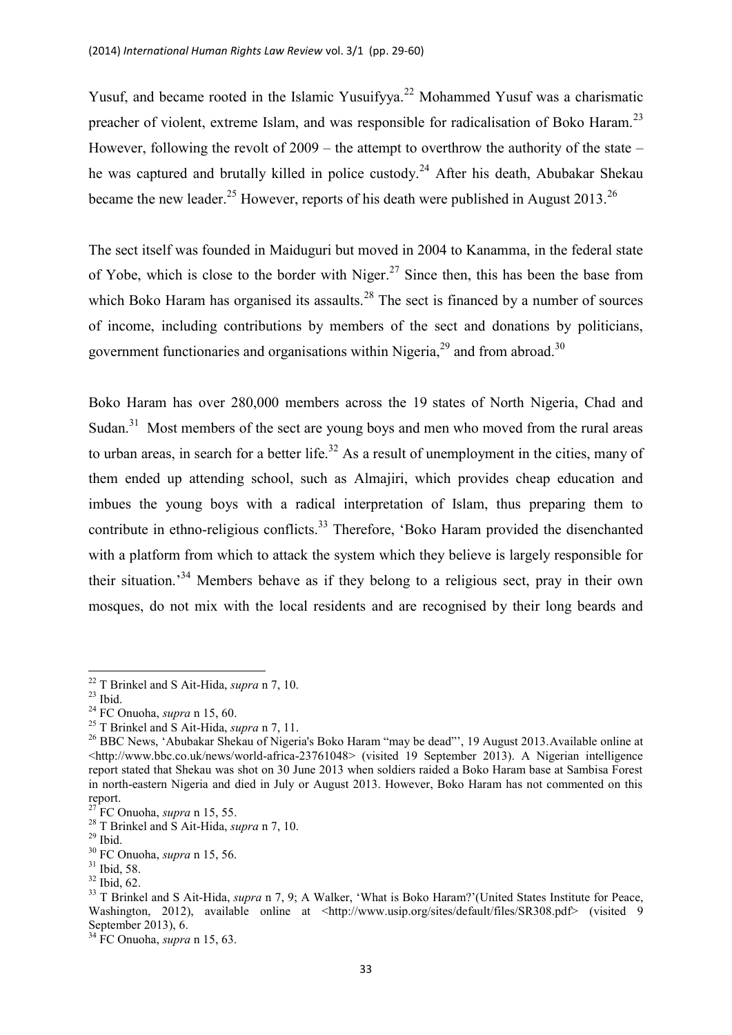Yusuf, and became rooted in the Islamic Yusuifyya.<sup>22</sup> Mohammed Yusuf was a charismatic preacher of violent, extreme Islam, and was responsible for radicalisation of Boko Haram.<sup>23</sup> However, following the revolt of 2009 – the attempt to overthrow the authority of the state – he was captured and brutally killed in police custody.<sup>24</sup> After his death, Abubakar Shekau became the new leader.<sup>25</sup> However, reports of his death were published in August 2013.<sup>26</sup>

The sect itself was founded in Maiduguri but moved in 2004 to Kanamma, in the federal state of Yobe, which is close to the border with Niger.<sup>27</sup> Since then, this has been the base from which Boko Haram has organised its assaults.<sup>28</sup> The sect is financed by a number of sources of income, including contributions by members of the sect and donations by politicians, government functionaries and organisations within Nigeria, $^{29}$  and from abroad.<sup>30</sup>

Boko Haram has over 280,000 members across the 19 states of North Nigeria, Chad and Sudan. $31$  Most members of the sect are young boys and men who moved from the rural areas to urban areas, in search for a better life.<sup>32</sup> As a result of unemployment in the cities, many of them ended up attending school, such as Almajiri, which provides cheap education and imbues the young boys with a radical interpretation of Islam, thus preparing them to contribute in ethno-religious conflicts.<sup>33</sup> Therefore, 'Boko Haram provided the disenchanted with a platform from which to attack the system which they believe is largely responsible for their situation.'<sup>34</sup> Members behave as if they belong to a religious sect, pray in their own mosques, do not mix with the local residents and are recognised by their long beards and

<sup>22</sup> T Brinkel and S Ait-Hida, *supra* n 7, 10.

 $23$  Ibid.

<sup>24</sup> FC Onuoha, *supra* n 15, 60.

<sup>25</sup> T Brinkel and S Ait-Hida, *supra* n 7, 11.

<sup>&</sup>lt;sup>26</sup> BBC News, 'Abubakar Shekau of Nigeria's Boko Haram "may be dead"', 19 August 2013. Available online at  $\leq$ http://www.bbc.co.uk/news/world-africa-23761048> (visited 19 September 2013). A Nigerian intelligence report stated that Shekau was shot on 30 June 2013 when soldiers raided a Boko Haram base at Sambisa Forest in north-eastern Nigeria and died in July or August 2013. However, Boko Haram has not commented on this report.

<sup>27</sup> FC Onuoha, *supra* n 15, 55.

<sup>28</sup> T Brinkel and S Ait-Hida, *supra* n 7, 10.

 $29$  Ibid.

<sup>30</sup> FC Onuoha, *supra* n 15, 56.

<sup>31</sup> Ibid, 58.

<sup>32</sup> Ibid, 62.

<sup>&</sup>lt;sup>33</sup> T Brinkel and S Ait-Hida, *supra* n 7, 9; A Walker, 'What is Boko Haram?'(United States Institute for Peace, Washington, 2012), available online at <http://www.usip.org/sites/default/files/SR308.pdf> (visited 9 September 2013), 6.

<sup>34</sup> FC Onuoha, *supra* n 15, 63.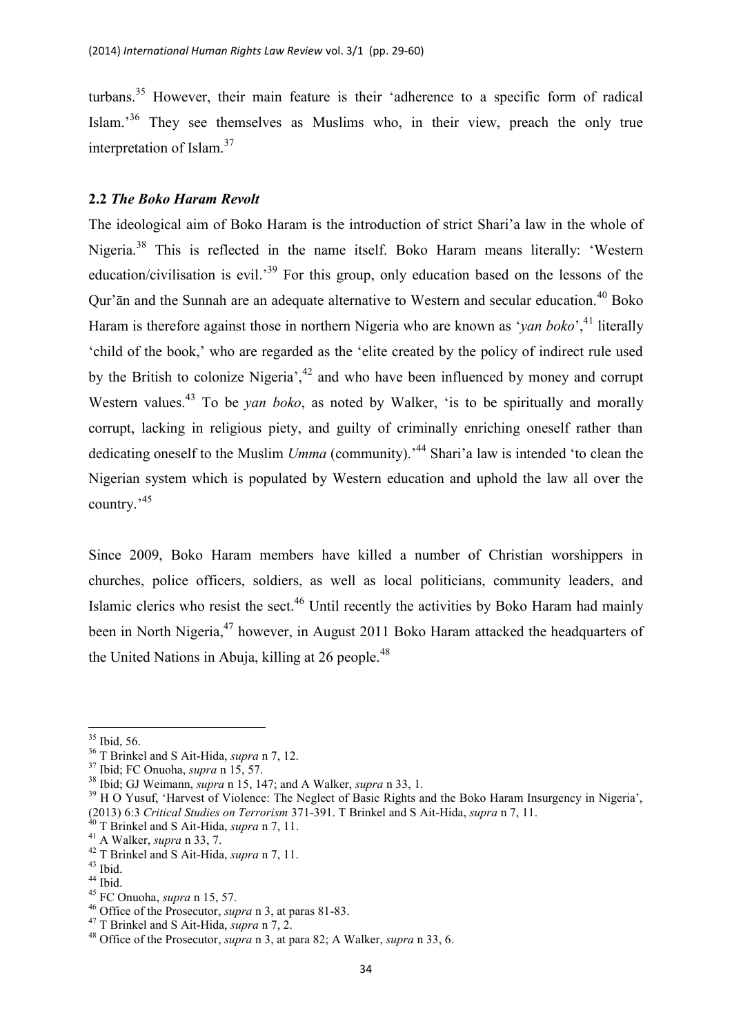turbans.<sup>35</sup> However, their main feature is their 'adherence to a specific form of radical Islam.'<sup>36</sup> They see themselves as Muslims who, in their view, preach the only true interpretation of Islam.<sup>37</sup>

# **2.2** *The Boko Haram Revolt*

The ideological aim of Boko Haram is the introduction of strict Shari'a law in the whole of Nigeria.<sup>38</sup> This is reflected in the name itself. Boko Haram means literally: 'Western education/civilisation is evil.<sup>39</sup> For this group, only education based on the lessons of the Qur'an and the Sunnah are an adequate alternative to Western and secular education.<sup>40</sup> Boko Haram is therefore against those in northern Nigeria who are known as '*van boko*',<sup>41</sup> literally 'child of the book,' who are regarded as the 'elite created by the policy of indirect rule used by the British to colonize Nigeria',  $42$  and who have been influenced by money and corrupt Western values.<sup>43</sup> To be *yan boko*, as noted by Walker, 'is to be spiritually and morally corrupt, lacking in religious piety, and guilty of criminally enriching oneself rather than dedicating oneself to the Muslim *Umma* (community).<sup>44</sup> Shari'a law is intended 'to clean the Nigerian system which is populated by Western education and uphold the law all over the country.<sup>45</sup>

Since 2009, Boko Haram members have killed a number of Christian worshippers in churches, police officers, soldiers, as well as local politicians, community leaders, and Islamic clerics who resist the sect.<sup>46</sup> Until recently the activities by Boko Haram had mainly been in North Nigeria,<sup>47</sup> however, in August 2011 Boko Haram attacked the headquarters of the United Nations in Abuja, killing at 26 people.<sup>48</sup>

<sup>35</sup> Ibid, 56.

<sup>36</sup> T Brinkel and S Ait-Hida, *supra* n 7, 12.

<sup>37</sup> Ibid; FC Onuoha, *supra* n 15, 57.

<sup>38</sup> Ibid; GJ Weimann, *supra* n 15, 147; and A Walker, *supra* n 33, 1.

<sup>&</sup>lt;sup>39</sup> H O Yusuf, 'Harvest of Violence: The Neglect of Basic Rights and the Boko Haram Insurgency in Nigeria', (2013) 6:3 *Critical Studies on Terrorism* 371-391. T Brinkel and S Ait-Hida, *supra* n 7, 11.

<sup>40</sup> T Brinkel and S Ait-Hida, *supra* n 7, 11.

<sup>41</sup> A Walker, *supra* n 33, 7.

<sup>42</sup> T Brinkel and S Ait-Hida, *supra* n 7, 11.

 $43$  Ibid.

 $44$  Ibid.

<sup>45</sup> FC Onuoha, *supra* n 15, 57.

<sup>46</sup> Office of the Prosecutor, *supra* n 3, at paras 81-83.

<sup>47</sup> T Brinkel and S Ait-Hida, *supra* n 7, 2.

<sup>48</sup> Office of the Prosecutor, *supra* n 3, at para 82; A Walker, *supra* n 33, 6.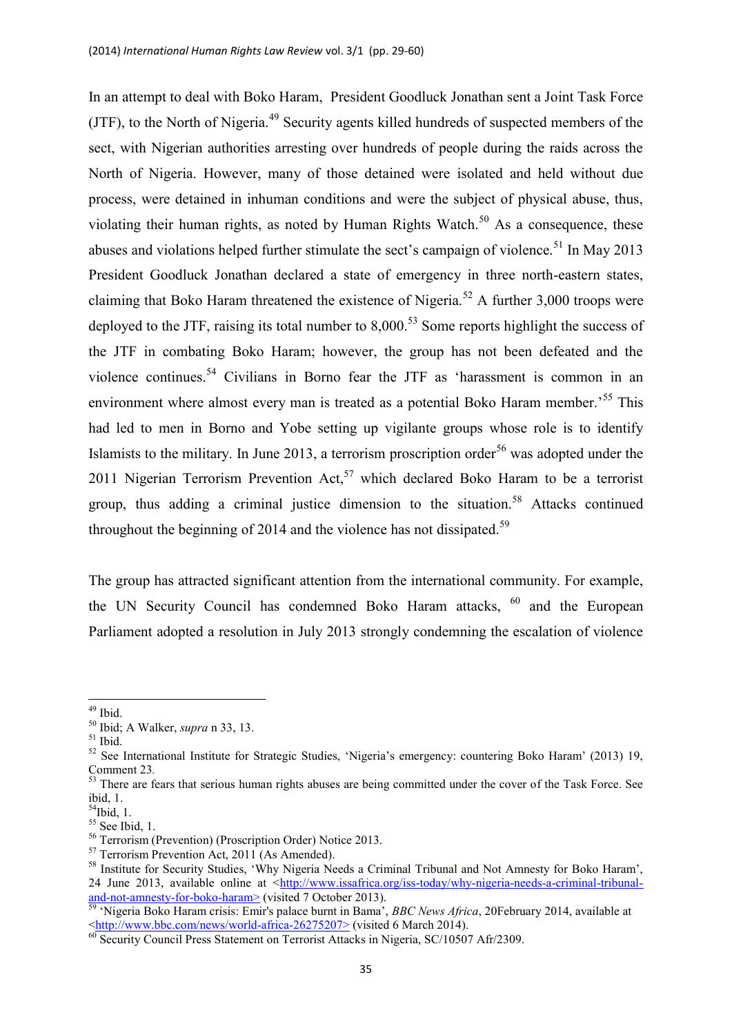In an attempt to deal with Boko Haram, President Goodluck Jonathan sent a Joint Task Force  $(JTF)$ , to the North of Nigeria.<sup>49</sup> Security agents killed hundreds of suspected members of the sect, with Nigerian authorities arresting over hundreds of people during the raids across the North of Nigeria. However, many of those detained were isolated and held without due process, were detained in inhuman conditions and were the subject of physical abuse, thus, violating their human rights, as noted by Human Rights Watch.<sup>50</sup> As a consequence, these abuses and violations helped further stimulate the sect's campaign of violence.<sup>51</sup> In May 2013 President Goodluck Jonathan declared a state of emergency in three north-eastern states, claiming that Boko Haram threatened the existence of Nigeria.<sup>52</sup> A further 3.000 troops were deployed to the JTF, raising its total number to  $8,000$ <sup>53</sup> Some reports highlight the success of the JTF in combating Boko Haram; however, the group has not been defeated and the violence continues.<sup>54</sup> Civilians in Borno fear the JTF as 'harassment is common in an environment where almost every man is treated as a potential Boko Haram member.<sup>55</sup> This had led to men in Borno and Yobe setting up vigilante groups whose role is to identify Islamists to the military. In June 2013, a terrorism proscription order<sup>56</sup> was adopted under the 2011 Nigerian Terrorism Prevention Act.<sup>57</sup> which declared Boko Haram to be a terrorist group, thus adding a criminal justice dimension to the situation.<sup>58</sup> Attacks continued throughout the beginning of 2014 and the violence has not dissipated.<sup>59</sup>

The group has attracted significant attention from the international community. For example, the UN Security Council has condemned Boko Haram attacks, <sup>60</sup> and the European Parliament adopted a resolution in July 2013 strongly condemning the escalation of violence

-

 $51$  Ibid.

 $49$  Ibid.

<sup>50</sup> Ibid; A Walker, *supra* n 33, 13.

<sup>52</sup> See International Institute for Strategic Studies, 'Nigeria's emergency: countering Boko Haram' (2013) 19, Comment 23*.*

<sup>&</sup>lt;sup>53</sup> There are fears that serious human rights abuses are being committed under the cover of the Task Force. See ibid, 1.

 $<sup>54</sup>$ Ibid, 1.</sup>

 $55$  See Ibid, 1.

<sup>56</sup> Terrorism (Prevention) (Proscription Order) Notice 2013.

<sup>&</sup>lt;sup>57</sup> Terrorism Prevention Act, 2011 (As Amended).

<sup>&</sup>lt;sup>58</sup> Institute for Security Studies, 'Why Nigeria Needs a Criminal Tribunal and Not Amnesty for Boko Haram', 24 June 2013, available online at [<http://www.issafrica.org/iss-today/why-nigeria-needs-a-criminal-tribunal](http://www.issafrica.org/iss-today/why-nigeria-needs-a-criminal-tribunal-and-not-amnesty-for-boko-haram)[and-not-amnesty-for-boko-haram>](http://www.issafrica.org/iss-today/why-nigeria-needs-a-criminal-tribunal-and-not-amnesty-for-boko-haram) (visited 7 October 2013).

<sup>59</sup> 'Nigeria Boko Haram crisis: Emir's palace burnt in Bama', *BBC News Africa*, 20February 2014, available at [<http://www.bbc.com/news/world-africa-26275207>](http://www.bbc.com/news/world-africa-26275207) (visited 6 March 2014).

<sup>&</sup>lt;sup>60</sup> Security Council Press Statement on Terrorist Attacks in Nigeria, SC/10507 Afr/2309.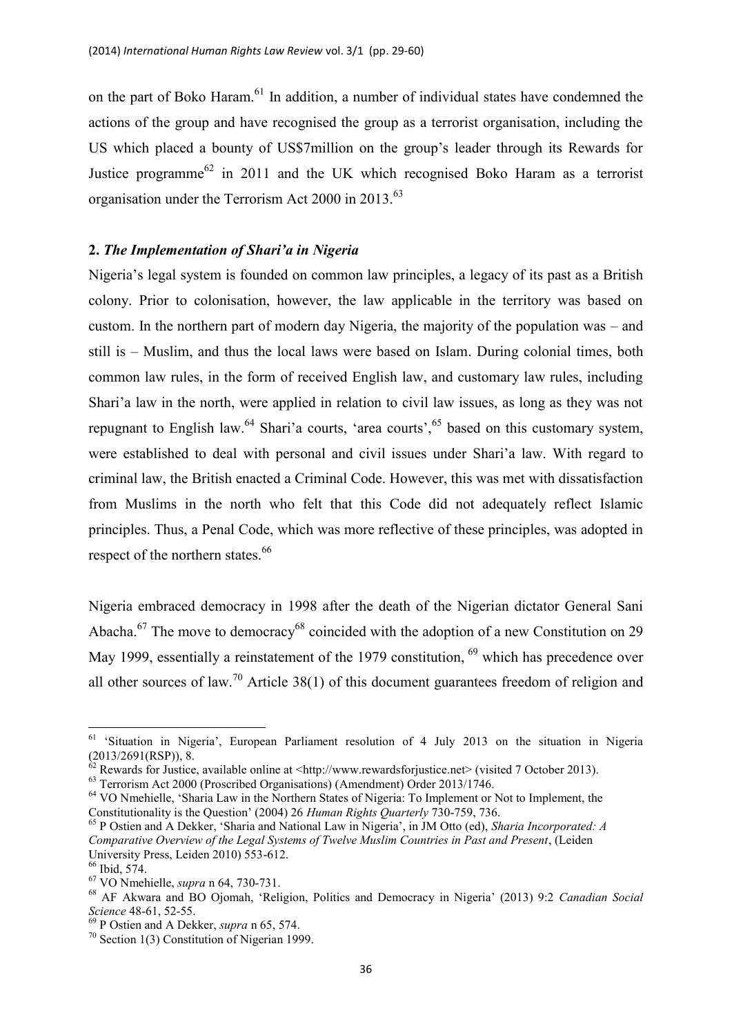on the part of Boko Haram.<sup>61</sup> In addition, a number of individual states have condemned the actions of the group and have recognised the group as a terrorist organisation, including the US which placed a bounty of US\$7million on the group's leader through its Rewards for Justice programme<sup>62</sup> in 2011 and the UK which recognised Boko Haram as a terrorist organisation under the Terrorism Act 2000 in 2013.<sup>63</sup>

# **2.** *The Implementation of Shari'a in Nigeria*

Nigeria's legal system is founded on common law principles, a legacy of its past as a British colony. Prior to colonisation, however, the law applicable in the territory was based on custom. In the northern part of modern day Nigeria, the majority of the population was – and still is – Muslim, and thus the local laws were based on Islam. During colonial times, both common law rules, in the form of received English law, and customary law rules, including Shari'a law in the north, were applied in relation to civil law issues, as long as they was not repugnant to English law.<sup>64</sup> Shari'a courts, 'area courts',  $65$  based on this customary system, were established to deal with personal and civil issues under Shari'a law. With regard to criminal law, the British enacted a Criminal Code. However, this was met with dissatisfaction from Muslims in the north who felt that this Code did not adequately reflect Islamic principles. Thus, a Penal Code, which was more reflective of these principles, was adopted in respect of the northern states.<sup>66</sup>

Nigeria embraced democracy in 1998 after the death of the Nigerian dictator General Sani Abacha.<sup>67</sup> The move to democracy<sup>68</sup> coincided with the adoption of a new Constitution on 29 May 1999, essentially a reinstatement of the 1979 constitution, <sup>69</sup> which has precedence over all other sources of law.<sup>70</sup> Article 38(1) of this document guarantees freedom of religion and

<sup>&</sup>lt;sup>61</sup> 'Situation in Nigeria', European Parliament resolution of 4 July 2013 on the situation in Nigeria (2013/2691(RSP)), 8.

 $62$  Rewards for Justice, available online at <http://www.rewardsforjustice.net> (visited 7 October 2013).

<sup>63</sup> Terrorism Act 2000 (Proscribed Organisations) (Amendment) Order 2013/1746.

<sup>&</sup>lt;sup>64</sup> VO Nmehielle, 'Sharia Law in the Northern States of Nigeria: To Implement or Not to Implement, the Constitutionality is the Question' (2004) 26 *Human Rights Quarterly* 730-759, 736.

<sup>65</sup> P Ostien and A Dekker, 'Sharia and National Law in Nigeria', in JM Otto (ed), *Sharia Incorporated: A Comparative Overview of the Legal Systems of Twelve Muslim Countries in Past and Present*, (Leiden University Press, Leiden 2010) 553-612.

<sup>66</sup> Ibid, 574.

<sup>67</sup> VO Nmehielle, *supra* n 64, 730-731.

<sup>68</sup> AF Akwara and BO Ojomah, 'Religion, Politics and Democracy in Nigeria' (2013) 9:2 *Canadian Social Science* 48-61, 52-55.

<sup>69</sup> P Ostien and A Dekker, *supra* n 65, 574.

 $70$  Section 1(3) Constitution of Nigerian 1999.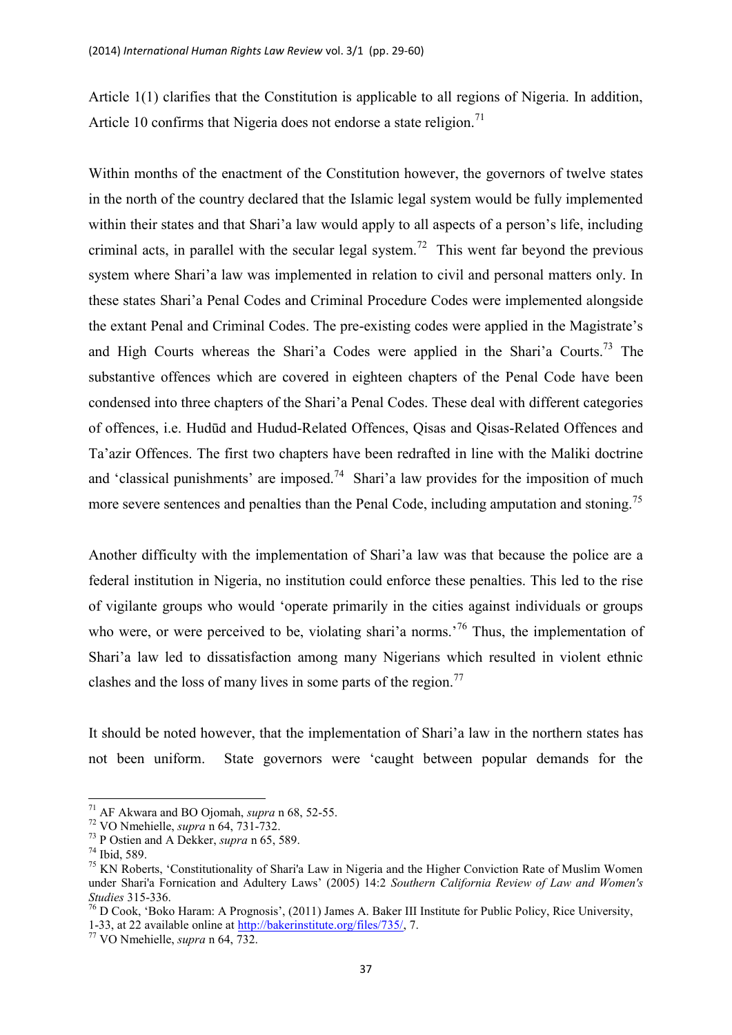Article 1(1) clarifies that the Constitution is applicable to all regions of Nigeria. In addition, Article 10 confirms that Nigeria does not endorse a state religion.<sup>71</sup>

Within months of the enactment of the Constitution however, the governors of twelve states in the north of the country declared that the Islamic legal system would be fully implemented within their states and that Shari'a law would apply to all aspects of a person's life, including criminal acts, in parallel with the secular legal system.<sup>72</sup> This went far beyond the previous system where Shari'a law was implemented in relation to civil and personal matters only. In these states Shari'a Penal Codes and Criminal Procedure Codes were implemented alongside the extant Penal and Criminal Codes. The pre-existing codes were applied in the Magistrate's and High Courts whereas the Shari'a Codes were applied in the Shari'a Courts.<sup>73</sup> The substantive offences which are covered in eighteen chapters of the Penal Code have been condensed into three chapters of the Shari'a Penal Codes. These deal with different categories of offences, i.e. Hudūd and Hudud-Related Offences, Qisas and Qisas-Related Offences and Ta'azir Offences. The first two chapters have been redrafted in line with the Maliki doctrine and 'classical punishments' are imposed.<sup>74</sup> Shari'a law provides for the imposition of much more severe sentences and penalties than the Penal Code, including amputation and stoning.<sup>75</sup>

Another difficulty with the implementation of Shari'a law was that because the police are a federal institution in Nigeria, no institution could enforce these penalties. This led to the rise of vigilante groups who would 'operate primarily in the cities against individuals or groups who were, or were perceived to be, violating shari'a norms.<sup>76</sup> Thus, the implementation of Shari'a law led to dissatisfaction among many Nigerians which resulted in violent ethnic clashes and the loss of many lives in some parts of the region.<sup>77</sup>

It should be noted however, that the implementation of Shari'a law in the northern states has not been uniform. State governors were 'caught between popular demands for the

<sup>71</sup> AF Akwara and BO Ojomah, *supra* n 68, 52-55.

<sup>72</sup> VO Nmehielle, *supra* n 64, 731-732.

<sup>73</sup> P Ostien and A Dekker, *supra* n 65, 589.

<sup>74</sup> Ibid, 589.

<sup>&</sup>lt;sup>75</sup> KN Roberts, 'Constitutionality of Shari'a Law in Nigeria and the Higher Conviction Rate of Muslim Women under Shari'a Fornication and Adultery Laws' (2005) 14:2 *Southern California Review of Law and Women's Studies* 315-336.

<sup>76</sup> D Cook, 'Boko Haram: A Prognosis', (2011) James A. Baker III Institute for Public Policy, Rice University, 1-33, at 22 available online at [http://bakerinstitute.org/files/735/,](http://bakerinstitute.org/files/735/) 7.

<sup>77</sup> VO Nmehielle, *supra* n 64, 732.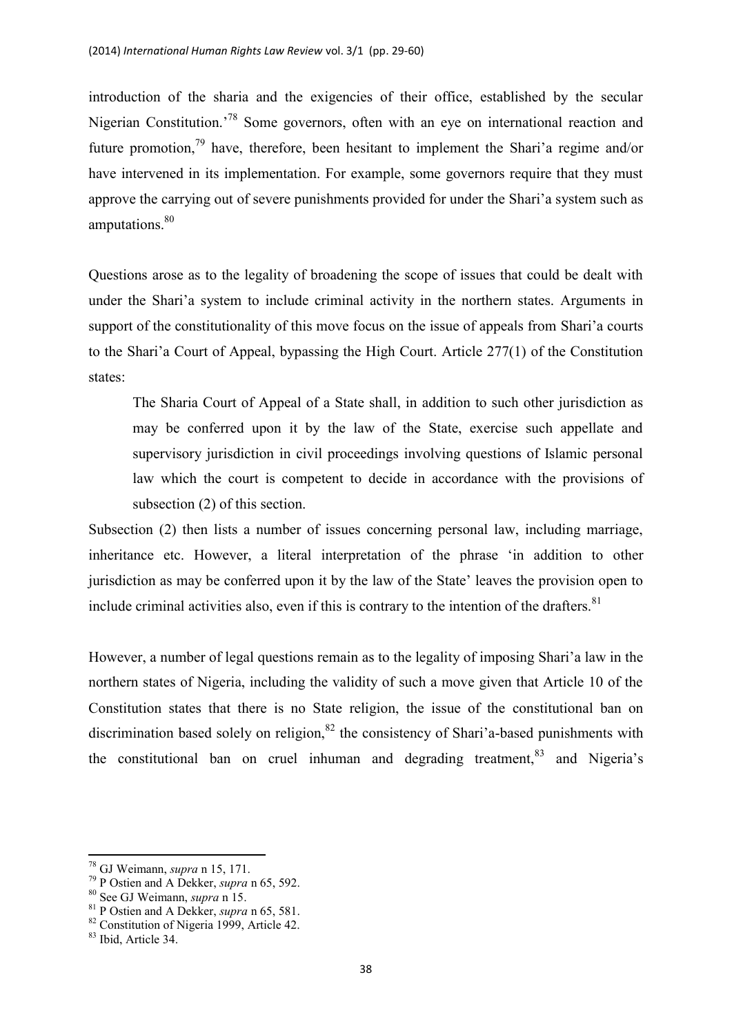introduction of the sharia and the exigencies of their office, established by the secular Nigerian Constitution.'<sup>78</sup> Some governors, often with an eye on international reaction and future promotion,<sup>79</sup> have, therefore, been hesitant to implement the Shari'a regime and/or have intervened in its implementation. For example, some governors require that they must approve the carrying out of severe punishments provided for under the Shari'a system such as amputations.<sup>80</sup>

Questions arose as to the legality of broadening the scope of issues that could be dealt with under the Shari'a system to include criminal activity in the northern states. Arguments in support of the constitutionality of this move focus on the issue of appeals from Shari'a courts to the Shari'a Court of Appeal, bypassing the High Court. Article 277(1) of the Constitution states:

The Sharia Court of Appeal of a State shall, in addition to such other jurisdiction as may be conferred upon it by the law of the State, exercise such appellate and supervisory jurisdiction in civil proceedings involving questions of Islamic personal law which the court is competent to decide in accordance with the provisions of subsection (2) of this section.

Subsection (2) then lists a number of issues concerning personal law, including marriage, inheritance etc. However, a literal interpretation of the phrase 'in addition to other jurisdiction as may be conferred upon it by the law of the State' leaves the provision open to include criminal activities also, even if this is contrary to the intention of the drafters.<sup>81</sup>

However, a number of legal questions remain as to the legality of imposing Shari'a law in the northern states of Nigeria, including the validity of such a move given that Article 10 of the Constitution states that there is no State religion, the issue of the constitutional ban on discrimination based solely on religion,  $82$  the consistency of Shari'a-based punishments with the constitutional ban on cruel inhuman and degrading treatment,<sup>83</sup> and Nigeria's

<sup>78</sup> GJ Weimann, *supra* n 15, 171.

<sup>79</sup> P Ostien and A Dekker, *supra* n 65, 592.

<sup>80</sup> See GJ Weimann, *supra* n 15.

<sup>81</sup> P Ostien and A Dekker, *supra* n 65, 581.

<sup>82</sup> Constitution of Nigeria 1999, Article 42.

<sup>83</sup> Ibid, Article 34.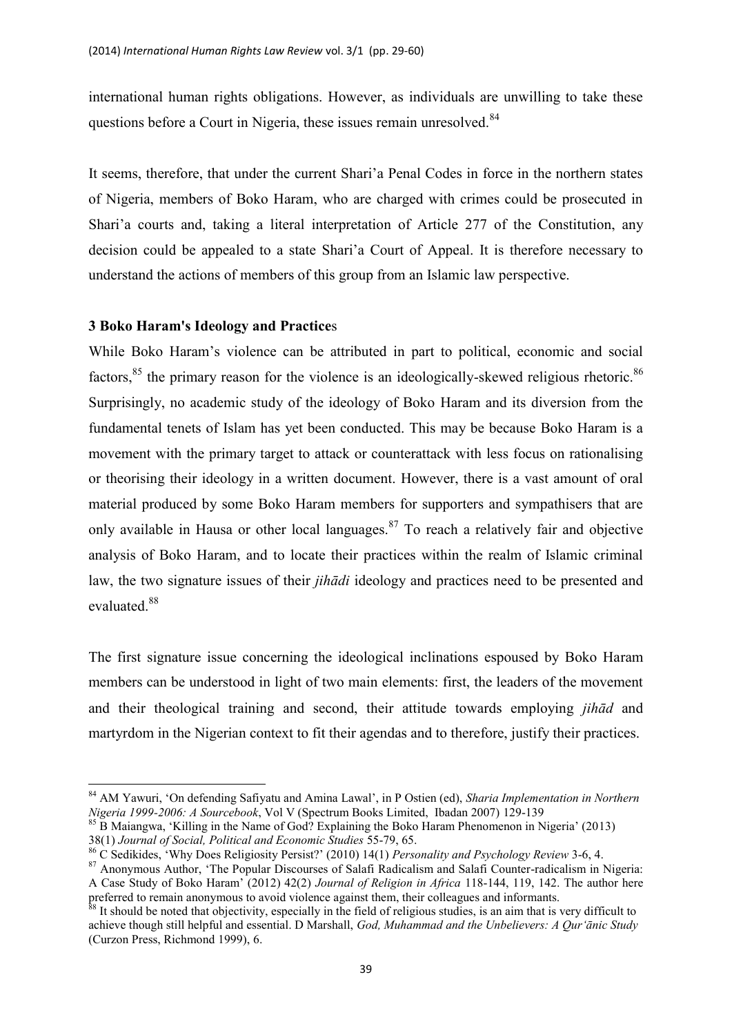international human rights obligations. However, as individuals are unwilling to take these questions before a Court in Nigeria, these issues remain unresolved.<sup>84</sup>

It seems, therefore, that under the current Shari'a Penal Codes in force in the northern states of Nigeria, members of Boko Haram, who are charged with crimes could be prosecuted in Shari'a courts and, taking a literal interpretation of Article 277 of the Constitution, any decision could be appealed to a state Shari'a Court of Appeal. It is therefore necessary to understand the actions of members of this group from an Islamic law perspective.

# **3 Boko Haram's Ideology and Practice**s

-

While Boko Haram's violence can be attributed in part to political, economic and social factors,  $85$  the primary reason for the violence is an ideologically-skewed religious rhetoric.  $86$ Surprisingly, no academic study of the ideology of Boko Haram and its diversion from the fundamental tenets of Islam has yet been conducted. This may be because Boko Haram is a movement with the primary target to attack or counterattack with less focus on rationalising or theorising their ideology in a written document. However, there is a vast amount of oral material produced by some Boko Haram members for supporters and sympathisers that are only available in Hausa or other local languages.<sup>87</sup> To reach a relatively fair and objective analysis of Boko Haram, and to locate their practices within the realm of Islamic criminal law, the two signature issues of their *jihādi* ideology and practices need to be presented and evaluated.<sup>88</sup>

The first signature issue concerning the ideological inclinations espoused by Boko Haram members can be understood in light of two main elements: first, the leaders of the movement and their theological training and second, their attitude towards employing *jihād* and martyrdom in the Nigerian context to fit their agendas and to therefore, justify their practices.

<sup>84</sup> AM Yawuri, 'On defending Safiyatu and Amina Lawal', in P Ostien (ed), *Sharia Implementation in Northern Nigeria 1999-2006: A Sourcebook*, Vol V (Spectrum Books Limited, Ibadan 2007) 129-139

<sup>&</sup>lt;sup>85</sup> B Maiangwa, 'Killing in the Name of God? Explaining the Boko Haram Phenomenon in Nigeria' (2013) 38(1) *Journal of Social, Political and Economic Studies* 55-79, 65.

<sup>86</sup> C Sedikides, 'Why Does Religiosity Persist?' (2010) 14(1) *Personality and Psychology Review* 3-6, 4.

<sup>87</sup> Anonymous Author, 'The Popular Discourses of Salafi Radicalism and Salafi Counter-radicalism in Nigeria: A Case Study of Boko Haram' (2012) 42(2) *Journal of Religion in Africa* 118-144, 119, 142. The author here preferred to remain anonymous to avoid violence against them, their colleagues and informants.

<sup>&</sup>lt;sup>88</sup> It should be noted that objectivity, especially in the field of religious studies, is an aim that is very difficult to achieve though still helpful and essential. D Marshall, *God, Muhammad and the Unbelievers: A Qur'ānic Study* (Curzon Press, Richmond 1999), 6.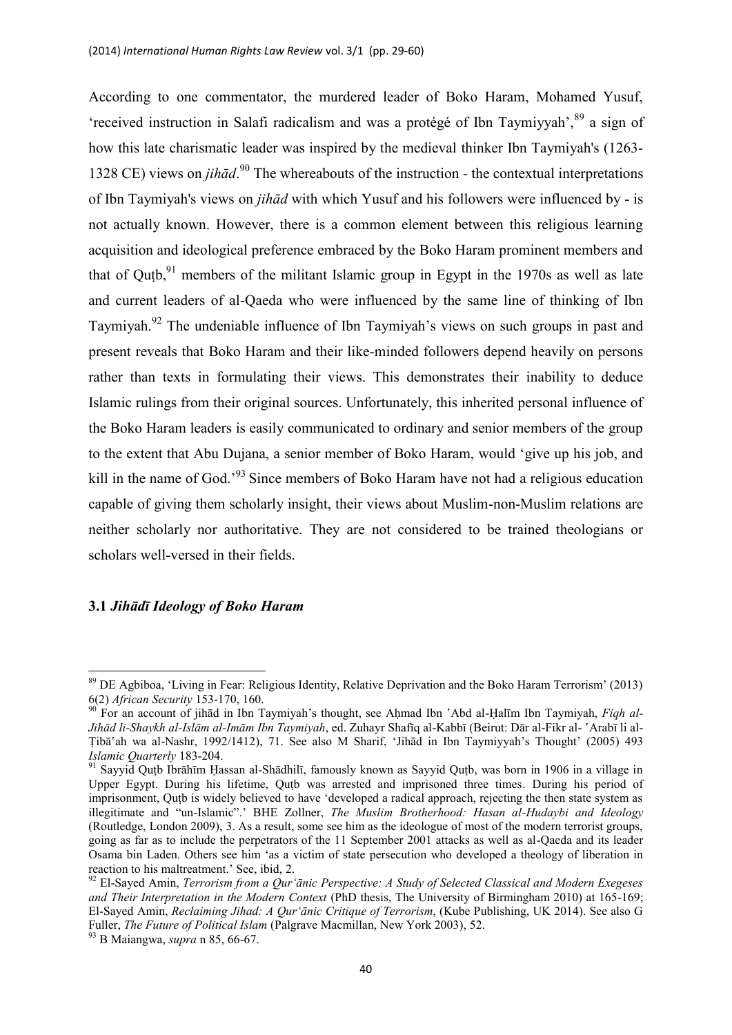According to one commentator, the murdered leader of Boko Haram, Mohamed Yusuf, 'received instruction in Salafi radicalism and was a protégé of Ibn Taymiyyah',<sup>89</sup> a sign of how this late charismatic leader was inspired by the medieval thinker Ibn Taymiyah's (1263- 1328 CE) views on *jihād*. <sup>90</sup> The whereabouts of the instruction - the contextual interpretations of Ibn Taymiyah's views on *jihād* with which Yusuf and his followers were influenced by - is not actually known. However, there is a common element between this religious learning acquisition and ideological preference embraced by the Boko Haram prominent members and that of Outb, $91$  members of the militant Islamic group in Egypt in the 1970s as well as late and current leaders of al-Qaeda who were influenced by the same line of thinking of Ibn Taymiyah.<sup>92</sup> The undeniable influence of Ibn Taymiyah's views on such groups in past and present reveals that Boko Haram and their like-minded followers depend heavily on persons rather than texts in formulating their views. This demonstrates their inability to deduce Islamic rulings from their original sources. Unfortunately, this inherited personal influence of the Boko Haram leaders is easily communicated to ordinary and senior members of the group to the extent that Abu Dujana, a senior member of Boko Haram, would 'give up his job, and kill in the name of God.<sup>93</sup> Since members of Boko Haram have not had a religious education capable of giving them scholarly insight, their views about Muslim-non-Muslim relations are neither scholarly nor authoritative. They are not considered to be trained theologians or scholars well-versed in their fields.

#### **3.1** *Jihādī Ideology of Boko Haram*

<sup>89</sup> DE Agbiboa, 'Living in Fear: Religious Identity, Relative Deprivation and the Boko Haram Terrorism' (2013) 6(2) *African Security* 153-170, 160.

<sup>&</sup>lt;sup>90</sup> For an account of jihad in Ibn Taymiyah's thought, see Ahmad Ibn 'Abd al-Halīm Ibn Taymiyah, *Fiqh al-Jihād li-Shaykh al-Islām al-Imām Ibn Taymiyah*, ed. Zuhayr Shafīq al-Kabbī (Beirut: DƗr al-Fikr al- ʽArabī li al-Tibā'ah wa al-Nashr, 1992/1412), 71. See also M Sharif, 'Jihād in Ibn Taymiyyah's Thought' (2005) 493 *Islamic Quarterly* 183-204.

<sup>&</sup>lt;sup>91</sup> Savvid Qutb Ibrāhīm Hassan al-Shādhilī, famously known as Sayyid Qutb, was born in 1906 in a village in Upper Egypt. During his lifetime, Outb was arrested and imprisoned three times. During his period of imprisonment, Qutb is widely believed to have 'developed a radical approach, rejecting the then state system as illegitimate and "un-Islamic".' BHE Zollner, *The Muslim Brotherhood: Hasan al-Hudaybi and Ideology* (Routledge, London 2009), 3. As a result, some see him as the ideologue of most of the modern terrorist groups, going as far as to include the perpetrators of the 11 September 2001 attacks as well as al-Qaeda and its leader Osama bin Laden. Others see him 'as a victim of state persecution who developed a theology of liberation in reaction to his maltreatment.' See, ibid, 2.

<sup>92</sup> El-Sayed Amin, *Terrorism from a Qur'ānic Perspective: A Study of Selected Classical and Modern Exegeses and Their Interpretation in the Modern Context* (PhD thesis, The University of Birmingham 2010) at 165-169; El-Sayed Amin, *Reclaiming Jihad: A Qur'ānic Critique of Terrorism*, (Kube Publishing, UK 2014). See also G Fuller, *The Future of Political Islam* (Palgrave Macmillan, New York 2003), 52.

<sup>93</sup> B Maiangwa, *supra* n 85, 66-67.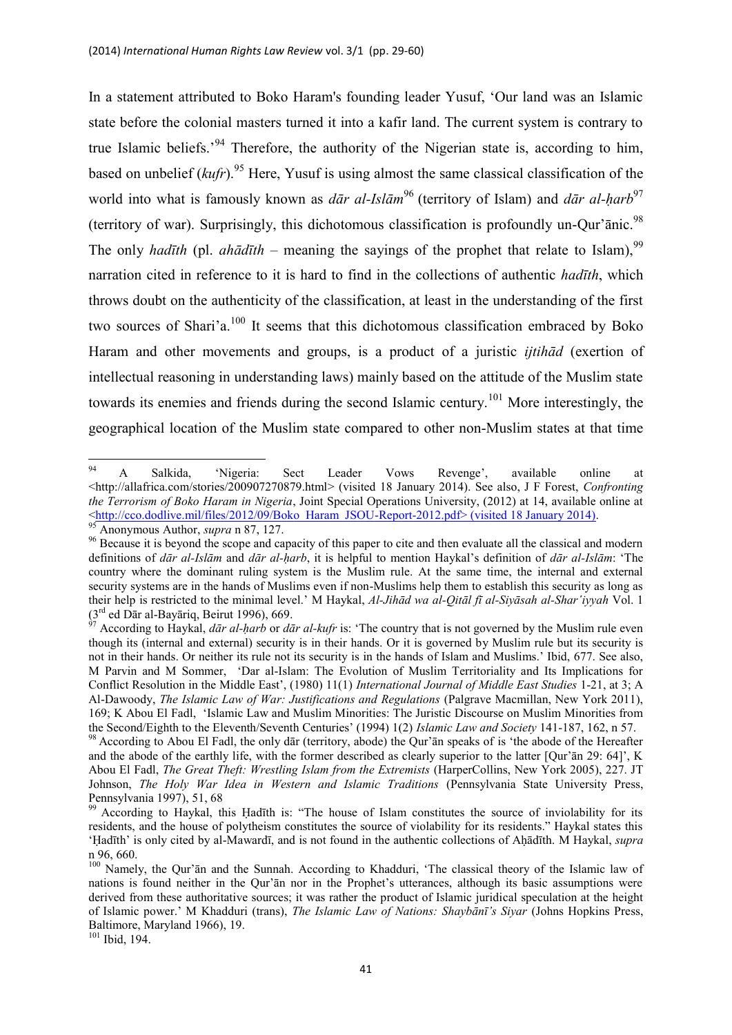In a statement attributed to Boko Haram's founding leader Yusuf, 'Our land was an Islamic state before the colonial masters turned it into a kafir land. The current system is contrary to true Islamic beliefs.'<sup>94</sup> Therefore, the authority of the Nigerian state is, according to him, based on unbelief (*kufr*).<sup>95</sup> Here, Yusuf is using almost the same classical classification of the world into what is famously known as *dār al-Islām*<sup>96</sup> (territory of Islam) and *dār al-harb*<sup>97</sup> (territory of war). Surprisingly, this dichotomous classification is profoundly un-Qur' $\bar{a}$ nic.<sup>98</sup> The only *hadīth* (pl. *ahādīth* – meaning the savings of the prophet that relate to Islam).<sup>99</sup> narration cited in reference to it is hard to find in the collections of authentic *hadīth*, which throws doubt on the authenticity of the classification, at least in the understanding of the first two sources of Shari'a.<sup>100</sup> It seems that this dichotomous classification embraced by Boko Haram and other movements and groups, is a product of a juristic *ijtihād* (exertion of intellectual reasoning in understanding laws) mainly based on the attitude of the Muslim state towards its enemies and friends during the second Islamic century.<sup>101</sup> More interestingly, the geographical location of the Muslim state compared to other non-Muslim states at that time

<sup>94</sup> <sup>94</sup> A Salkida, 'Nigeria: Sect Leader Vows Revenge', available online at [<http://allafrica.com/stories/200907270879.html>](http://allafrica.com/stories/200907270879.html) (visited 18 January 2014). See also, J F Forest, *Confronting the Terrorism of Boko Haram in Nigeria*, Joint Special Operations University, (2012) at 14, available online at [<http://cco.dodlive.mil/files/2012/09/Boko\\_Haram\\_JSOU-Report-2012.pdf>](http://cco.dodlive.mil/files/2012/09/Boko_Haram_JSOU-Report-2012.pdf) (visited 18 January 2014).

<sup>95</sup> Anonymous Author, *supra* n 87, 127.

<sup>&</sup>lt;sup>96</sup> Because it is beyond the scope and capacity of this paper to cite and then evaluate all the classical and modern definitions of *dār al-Islām* and *dār al-harb*, it is helpful to mention Haykal's definition of *dār al-Islām*: 'The country where the dominant ruling system is the Muslim rule. At the same time, the internal and external security systems are in the hands of Muslims even if non-Muslims help them to establish this security as long as their help is restricted to the minimal level.' M Haykal, *Al-Jihād wa al-Qitāl fī al-Siyāsah al-Sharʽiyyah* Vol. 1 (3<sup>rd</sup> ed Dār al-Bayāriq, Beirut 1996), 669.

 $^{97}$  According to Haykal, *dār al-harb* or *dār al-kufr* is: 'The country that is not governed by the Muslim rule even though its (internal and external) security is in their hands. Or it is governed by Muslim rule but its security is not in their hands. Or neither its rule not its security is in the hands of Islam and Muslims.' Ibid, 677. See also, M Parvin and M Sommer, 'Dar al-Islam: The Evolution of Muslim Territoriality and Its Implications for Conflict Resolution in the Middle East', (1980) 11(1) *International Journal of Middle East Studies* 1-21, at 3; A Al-Dawoody, *The Islamic Law of War: Justifications and Regulations* (Palgrave Macmillan, New York 2011), 169; K Abou El Fadl, 'Islamic Law and Muslim Minorities: The Juristic Discourse on Muslim Minorities from the Second/Eighth to the Eleventh/Seventh Centuries' (1994) 1(2) *Islamic Law and Society* 141-187, 162, n 57.

<sup>98</sup> According to Abou El Fadl, the only dār (territory, abode) the Qur'ān speaks of is 'the abode of the Hereafter and the abode of the earthly life, with the former described as clearly superior to the latter  $\lceil \text{Our" an 29: 64} \rceil$ , K Abou El Fadl, *The Great Theft: Wrestling Islam from the Extremists* (HarperCollins, New York 2005), 227. JT Johnson, *The Holy War Idea in Western and Islamic Traditions* (Pennsylvania State University Press, Pennsylvania 1997), 51, 68

<sup>&</sup>lt;sup>99</sup> According to Haykal, this Hadīth is: "The house of Islam constitutes the source of inviolability for its residents, and the house of polytheism constitutes the source of violability for its residents." Haykal states this 'Hadīth' is only cited by al-Mawardī, and is not found in the authentic collections of Ahādīth. M Haykal, *supra* n 96, 660.

<sup>&</sup>lt;sup>100</sup> Namely, the Qur'ān and the Sunnah. According to Khadduri, 'The classical theory of the Islamic law of nations is found neither in the Our'an nor in the Prophet's utterances, although its basic assumptions were derived from these authoritative sources; it was rather the product of Islamic juridical speculation at the height of Islamic power.' M Khadduri (trans), *The Islamic Law of Nations: Shaybānī's Siyar* (Johns Hopkins Press, Baltimore, Maryland 1966), 19.

 $101$  Ibid, 194.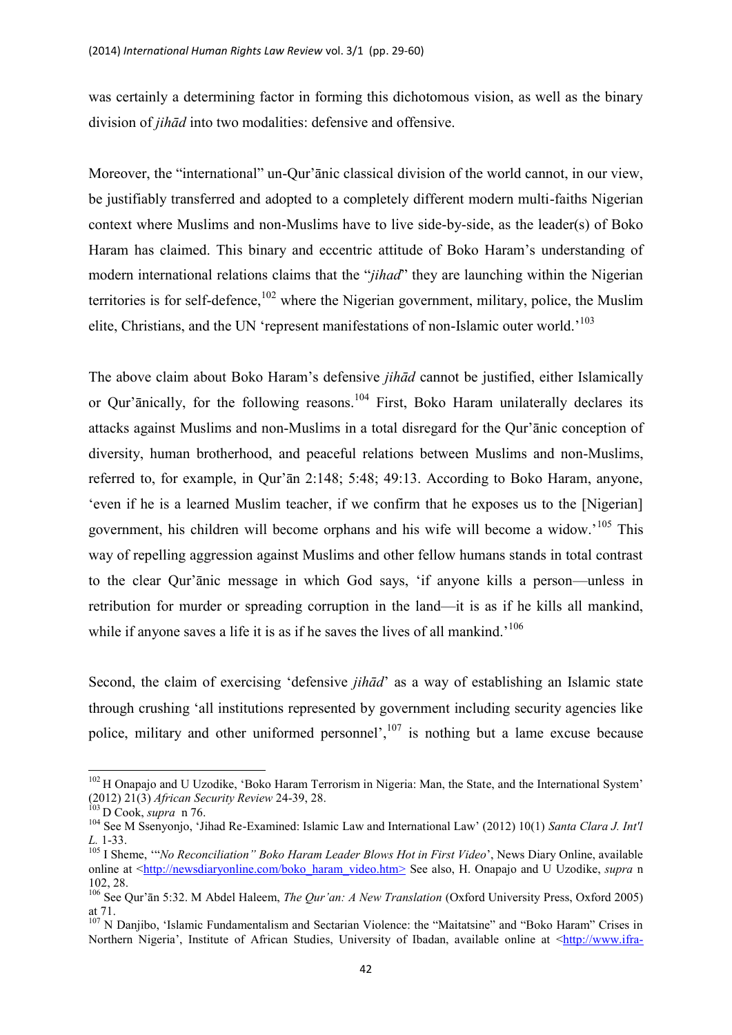was certainly a determining factor in forming this dichotomous vision, as well as the binary division of *jihād* into two modalities: defensive and offensive.

Moreover, the "international" un-Our'ānic classical division of the world cannot, in our view, be justifiably transferred and adopted to a completely different modern multi-faiths Nigerian context where Muslims and non-Muslims have to live side-by-side, as the leader(s) of Boko Haram has claimed. This binary and eccentric attitude of Boko Haram's understanding of modern international relations claims that the "*jihad*" they are launching within the Nigerian territories is for self-defence,  $102$  where the Nigerian government, military, police, the Muslim elite, Christians, and the UN 'represent manifestations of non-Islamic outer world.'<sup>103</sup>

The above claim about Boko Haram's defensive *jihād* cannot be justified, either Islamically or Our' $\bar{a}$ nically, for the following reasons.<sup>104</sup> First, Boko Haram unilaterally declares its attacks against Muslims and non-Muslims in a total disregard for the Qur'anic conception of diversity, human brotherhood, and peaceful relations between Muslims and non-Muslims, referred to, for example, in Qur'ān 2:148; 5:48; 49:13. According to Boko Haram, anyone, 'even if he is a learned Muslim teacher, if we confirm that he exposes us to the [Nigerian] government, his children will become orphans and his wife will become a widow.<sup>'105</sup> This way of repelling aggression against Muslims and other fellow humans stands in total contrast to the clear Qur'anic message in which God says, 'if anyone kills a person—unless in retribution for murder or spreading corruption in the land—it is as if he kills all mankind, while if anyone saves a life it is as if he saves the lives of all mankind.<sup> $106$ </sup>

Second, the claim of exercising 'defensive *jihād*' as a way of establishing an Islamic state through crushing 'all institutions represented by government including security agencies like police, military and other uniformed personnel',<sup>107</sup> is nothing but a lame excuse because

<sup>&</sup>lt;sup>102</sup> H Onapajo and U Uzodike, 'Boko Haram Terrorism in Nigeria: Man, the State, and the International System' (2012) 21(3) *African Security Review* 24-39, 28.

<sup>103</sup>D Cook, *supra* n 76.

<sup>104</sup> See M Ssenyonjo, 'Jihad Re-Examined: Islamic Law and International Law' (2012) 10(1) *Santa Clara J. Int'l L.* 1-33.

<sup>105</sup> I Sheme, '"*No Reconciliation" Boko Haram Leader Blows Hot in First Video*', News Diary Online, available online at [<http://newsdiaryonline.com/boko\\_haram\\_video.htm>](http://newsdiaryonline.com/boko_haram_video.htm) See also, H. Onapajo and U Uzodike, *supra* n 102, 28.

<sup>&</sup>lt;sup>106</sup> See Our'ān 5:32. M Abdel Haleem, *The Our'an: A New Translation* (Oxford University Press, Oxford 2005) at 71.

<sup>&</sup>lt;sup>107</sup> N Daniibo, 'Islamic Fundamentalism and Sectarian Violence: the "Maitatsine" and "Boko Haram" Crises in Northern Nigeria', Institute of African Studies, University of Ibadan, available online at [<http://www.ifra-](http://www.ifra-nigeria.org/IMG/pdf/N-_D-_DANJIBO_-_Islamic_Fundamentalism_and_Sectarian_Violence_The_Maitatsine_and_Boko_Haram_Crises_in_Northern_Nigeria.pdf)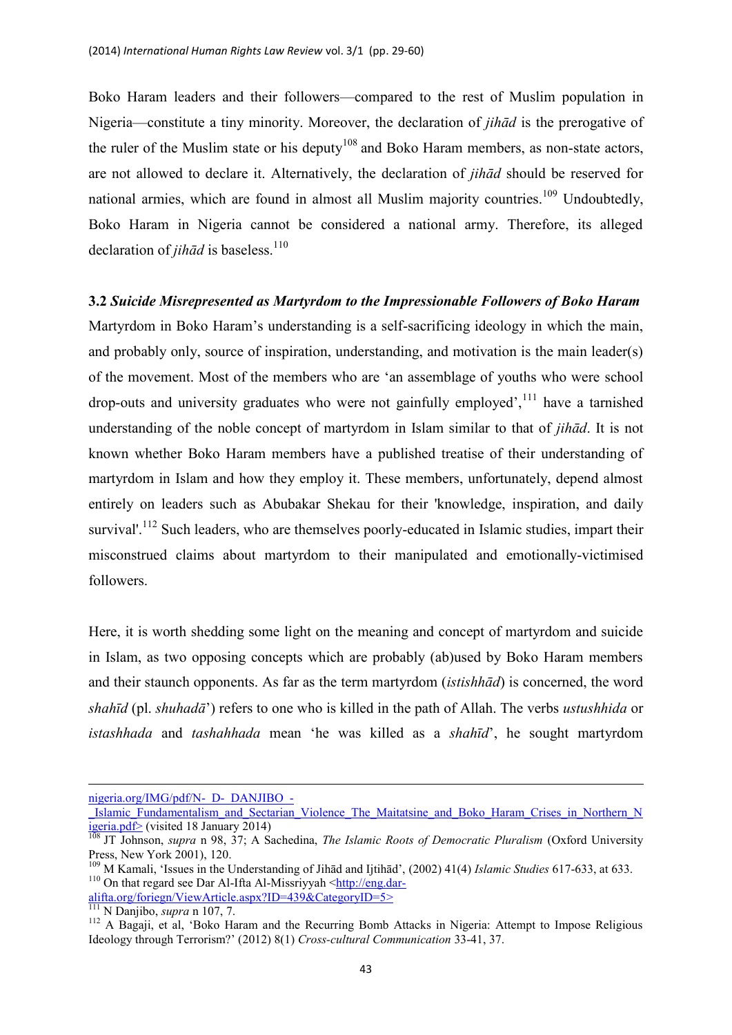Boko Haram leaders and their followers—compared to the rest of Muslim population in Nigeria—constitute a tiny minority. Moreover, the declaration of *jihād* is the prerogative of the ruler of the Muslim state or his deputy<sup>108</sup> and Boko Haram members, as non-state actors, are not allowed to declare it. Alternatively, the declaration of *jihād* should be reserved for national armies, which are found in almost all Muslim majority countries.<sup>109</sup> Undoubtedly, Boko Haram in Nigeria cannot be considered a national army. Therefore, its alleged declaration of *jihād* is baseless.<sup>110</sup>

#### **3.2** *Suicide Misrepresented as Martyrdom to the Impressionable Followers of Boko Haram*

Martyrdom in Boko Haram's understanding is a self-sacrificing ideology in which the main, and probably only, source of inspiration, understanding, and motivation is the main leader(s) of the movement. Most of the members who are 'an assemblage of youths who were school drop-outs and university graduates who were not gainfully employed',  $111$  have a tarnished understanding of the noble concept of martyrdom in Islam similar to that of *jihād*. It is not known whether Boko Haram members have a published treatise of their understanding of martyrdom in Islam and how they employ it. These members, unfortunately, depend almost entirely on leaders such as Abubakar Shekau for their 'knowledge, inspiration, and daily survival'.<sup>112</sup> Such leaders, who are themselves poorly-educated in Islamic studies, impart their misconstrued claims about martyrdom to their manipulated and emotionally-victimised followers.

Here, it is worth shedding some light on the meaning and concept of martyrdom and suicide in Islam, as two opposing concepts which are probably (ab)used by Boko Haram members and their staunch opponents. As far as the term martyrdom (*istishhād*) is concerned, the word *shahīd* (pl. *shuhadā*') refers to one who is killed in the path of Allah. The verbs *ustushhida* or *istashhada* and *tashahhada* mean 'he was killed as a *shahīd*', he sought martyrdom

[nigeria.org/IMG/pdf/N-\\_D-\\_DANJIBO\\_-](http://www.ifra-nigeria.org/IMG/pdf/N-_D-_DANJIBO_-_Islamic_Fundamentalism_and_Sectarian_Violence_The_Maitatsine_and_Boko_Haram_Crises_in_Northern_Nigeria.pdf)

[\\_Islamic\\_Fundamentalism\\_and\\_Sectarian\\_Violence\\_The\\_Maitatsine\\_and\\_Boko\\_Haram\\_Crises\\_in\\_Northern\\_N](http://www.ifra-nigeria.org/IMG/pdf/N-_D-_DANJIBO_-_Islamic_Fundamentalism_and_Sectarian_Violence_The_Maitatsine_and_Boko_Haram_Crises_in_Northern_Nigeria.pdf) [igeria.pdf>](http://www.ifra-nigeria.org/IMG/pdf/N-_D-_DANJIBO_-_Islamic_Fundamentalism_and_Sectarian_Violence_The_Maitatsine_and_Boko_Haram_Crises_in_Northern_Nigeria.pdf) (visited 18 January 2014)

<sup>&</sup>lt;sup>108</sup> JT Johnson, *supra* n 98, 37; A Sachedina, *The Islamic Roots of Democratic Pluralism* (Oxford University Press, New York 2001), 120.

<sup>&</sup>lt;sup>109</sup> M Kamali, 'Issues in the Understanding of Jihād and Ijtihād', (2002) 41(4) *Islamic Studies* 617-633, at 633. <sup>110</sup> On that regard see Dar Al-Ifta Al-Missriyyah [<http://eng.dar](http://eng.dar-alifta.org/foriegn/ViewArticle.aspx?ID=439&CategoryID=5)[alifta.org/foriegn/ViewArticle.aspx?ID=439&CategoryID=5>](http://eng.dar-alifta.org/foriegn/ViewArticle.aspx?ID=439&CategoryID=5)

<sup>111</sup> N Danjibo, *supra* n 107, 7.

<sup>&</sup>lt;sup>112</sup> A Bagaji, et al, 'Boko Haram and the Recurring Bomb Attacks in Nigeria: Attempt to Impose Religious Ideology through Terrorism?' (2012) 8(1) *Cross-cultural Communication* 33-41, 37.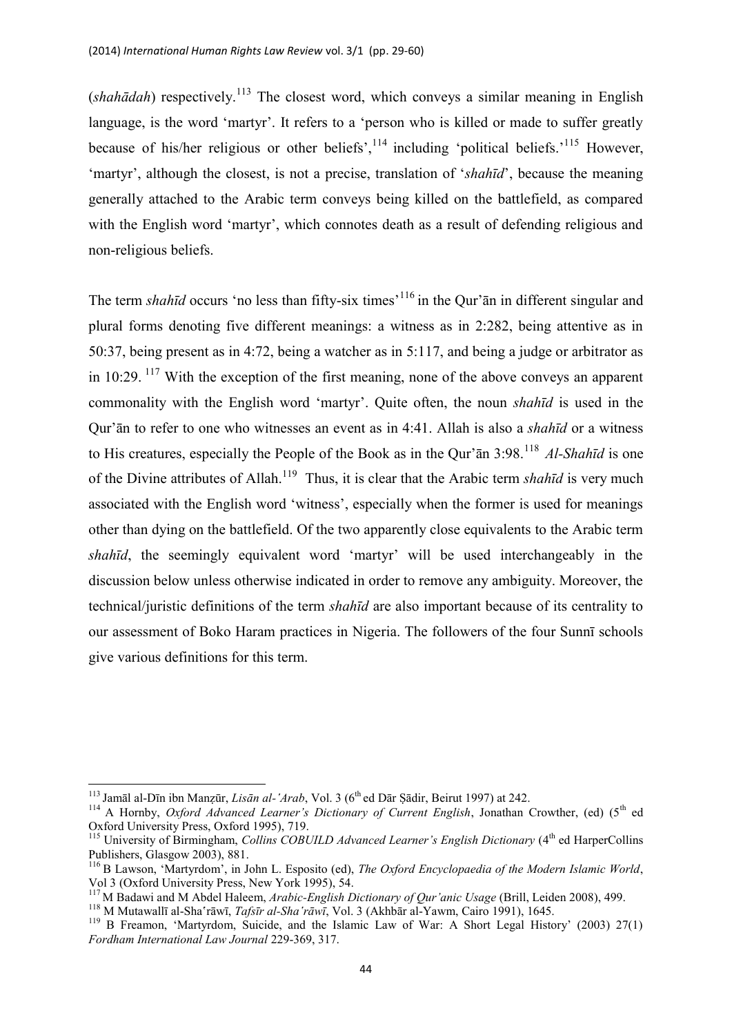$(shah\bar{a}dah)$  respectively.<sup>113</sup> The closest word, which conveys a similar meaning in English language, is the word 'martyr'. It refers to a 'person who is killed or made to suffer greatly because of his/her religious or other beliefs', $^{114}$  including 'political beliefs.<sup>'115</sup> However, 'martyr', although the closest, is not a precise, translation of '*shahīd*', because the meaning generally attached to the Arabic term conveys being killed on the battlefield, as compared with the English word 'martyr', which connotes death as a result of defending religious and non-religious beliefs.

The term *shahīd* occurs 'no less than fifty-six times<sup>116</sup> in the Qur'an in different singular and plural forms denoting five different meanings: a witness as in 2:282, being attentive as in 50:37, being present as in 4:72, being a watcher as in 5:117, and being a judge or arbitrator as in 10:29.  $117$  With the exception of the first meaning, none of the above conveys an apparent commonality with the English word 'martyr'. Quite often, the noun *shahīd* is used in the Qur'an to refer to one who witnesses an event as in 4:41. Allah is also a *shahid* or a witness to His creatures, especially the People of the Book as in the Our'an 3:98.<sup>118</sup> Al-*Shahīd* is one of the Divine attributes of Allah.<sup>119</sup> Thus, it is clear that the Arabic term *shahīd* is very much associated with the English word 'witness', especially when the former is used for meanings other than dying on the battlefield. Of the two apparently close equivalents to the Arabic term *shahīd*, the seemingly equivalent word 'martyr' will be used interchangeably in the discussion below unless otherwise indicated in order to remove any ambiguity. Moreover, the technical/juristic definitions of the term *shahīd* are also important because of its centrality to our assessment of Boko Haram practices in Nigeria. The followers of the four Sunnī schools give various definitions for this term.

<sup>&</sup>lt;sup>113</sup> Jamāl al-Dīn ibn Manzūr, *Lisān al-'Arab*, Vol. 3 (6<sup>th</sup> ed Dār Sādir, Beirut 1997) at 242.

<sup>&</sup>lt;sup>114</sup> A Hornby, *Oxford Advanced Learner's Dictionary of Current English*, Jonathan Crowther, (ed) (5<sup>th</sup> ed Oxford University Press, Oxford 1995), 719.

<sup>&</sup>lt;sup>115</sup> University of Birmingham, *Collins COBUILD Advanced Learner's English Dictionary* (4<sup>th</sup> ed HarperCollins Publishers, Glasgow 2003), 881.

<sup>116</sup>B Lawson, 'Martyrdom', in John L. Esposito (ed), *The Oxford Encyclopaedia of the Modern Islamic World*, Vol 3 (Oxford University Press, New York 1995), 54.

<sup>117</sup>M Badawi and M Abdel Haleem, *Arabic-English Dictionary of Qur'anic Usage* (Brill, Leiden 2008), 499.

<sup>&</sup>lt;sup>118</sup> M Mutawallī al-Shaʿrāwī, *Tafsīr al-Sha'rāwī*, Vol. 3 (Akhbār al-Yawm, Cairo 1991), 1645.

<sup>119</sup> B Freamon, 'Martyrdom, Suicide, and the Islamic Law of War: A Short Legal History' (2003) 27(1) *Fordham International Law Journal* 229-369, 317.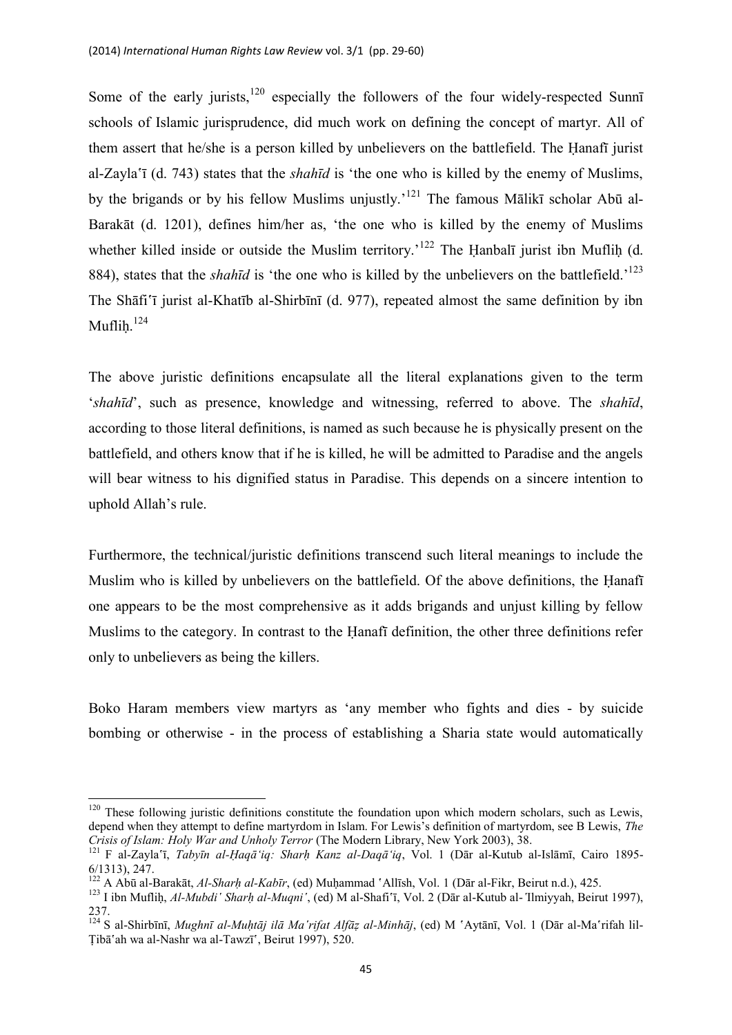Some of the early jurists, $120$  especially the followers of the four widely-respected Sunnī schools of Islamic jurisprudence, did much work on defining the concept of martyr. All of them assert that he/she is a person killed by unbelievers on the battlefield. The Hanafi jurist al-Zayla'ī (d. 743) states that the *shahīd* is 'the one who is killed by the enemy of Muslims, by the brigands or by his fellow Muslims unjustly.'<sup>121</sup> The famous Mālikī scholar Abū al-Barakāt (d. 1201), defines him/her as, 'the one who is killed by the enemy of Muslims whether killed inside or outside the Muslim territory.<sup> $122$ </sup> The Hanbalī jurist ibn Muflih (d. 884), states that the *shahīd* is 'the one who is killed by the unbelievers on the battlefield.<sup>123</sup> The Shāfi'ī jurist al-Khatīb al-Shirbīnī (d. 977), repeated almost the same definition by ibn Muflih.<sup>124</sup>

The above juristic definitions encapsulate all the literal explanations given to the term '*shahīd*', such as presence, knowledge and witnessing, referred to above. The *shahīd*, according to those literal definitions, is named as such because he is physically present on the battlefield, and others know that if he is killed, he will be admitted to Paradise and the angels will bear witness to his dignified status in Paradise. This depends on a sincere intention to uphold Allah's rule.

Furthermore, the technical/juristic definitions transcend such literal meanings to include the Muslim who is killed by unbelievers on the battlefield. Of the above definitions, the Hanafī one appears to be the most comprehensive as it adds brigands and unjust killing by fellow Muslims to the category. In contrast to the Hanafi definition, the other three definitions refer only to unbelievers as being the killers.

Boko Haram members view martyrs as 'any member who fights and dies - by suicide bombing or otherwise - in the process of establishing a Sharia state would automatically

 $120$  These following juristic definitions constitute the foundation upon which modern scholars, such as Lewis, depend when they attempt to define martyrdom in Islam. For Lewis's definition of martyrdom, see B Lewis, *The Crisis of Islam: Holy War and Unholy Terror* (The Modern Library, New York 2003), 38.

<sup>&</sup>lt;sup>121</sup> F al-Zaylaʿī, *Tabyīn al-Haqā* 'iq: Sharh Kanz al-Daqā 'iq, Vol. 1 (Dār al-Kutub al-Islāmī, Cairo 1895-6/1313), 247.

<sup>&</sup>lt;sup>122</sup> A Abū al-Barakāt, *Al-Sharh al-Kabīr*, (ed) Muhammad `Allīsh, Vol. 1 (Dār al-Fikr, Beirut n.d.), 425.

<sup>&</sup>lt;sup>123</sup> I ibn Muflih, *Al-Mubdi' Sharh al-Muqni'*, (ed) M al-Shafi'ī, Vol. 2 (Dār al-Kutub al-*ʻ*Ilmiyyah, Beirut 1997), 237.

<sup>124</sup> S al-Shirbīnī. *Mughnī al-Muhtāj ilā Ma'rifat Alfāz al-Minhāj*, (ed) M ʿAytānī, Vol. 1 (Dār al-Maʿrifah lil-Tibā'ah wa al-Nashr wa al-Tawzī', Beirut 1997), 520.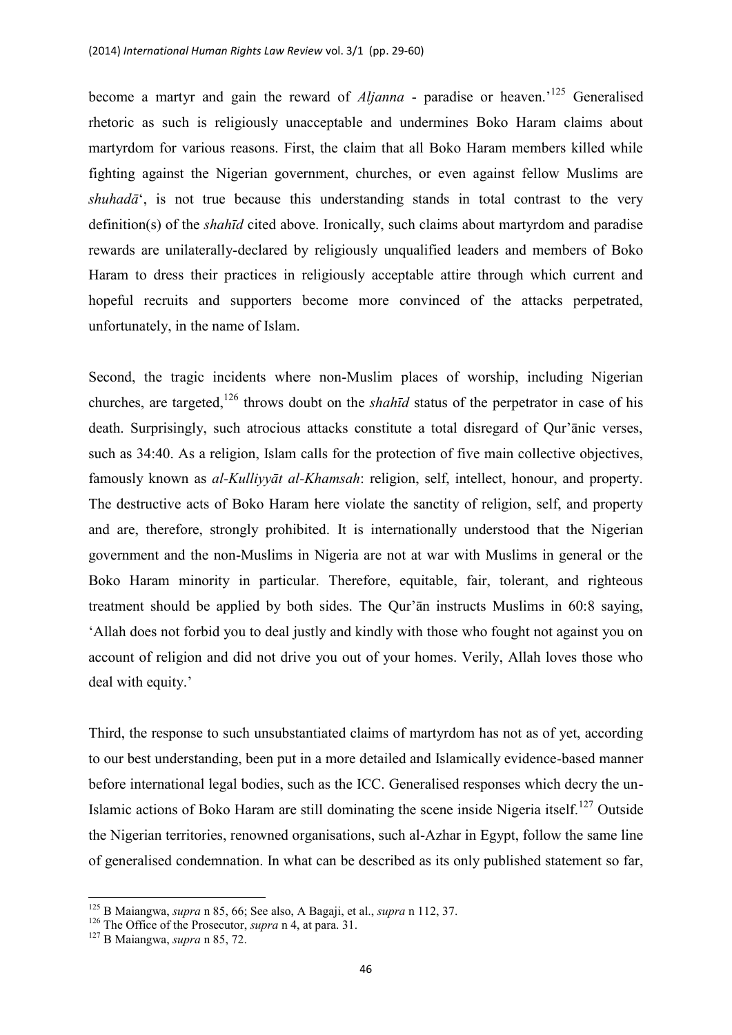become a martyr and gain the reward of *Aljanna* - paradise or heaven.'<sup>125</sup> Generalised rhetoric as such is religiously unacceptable and undermines Boko Haram claims about martyrdom for various reasons. First, the claim that all Boko Haram members killed while fighting against the Nigerian government, churches, or even against fellow Muslims are *shuhadā*', is not true because this understanding stands in total contrast to the very definition(s) of the *shahīd* cited above. Ironically, such claims about martyrdom and paradise rewards are unilaterally-declared by religiously unqualified leaders and members of Boko Haram to dress their practices in religiously acceptable attire through which current and hopeful recruits and supporters become more convinced of the attacks perpetrated, unfortunately, in the name of Islam.

Second, the tragic incidents where non-Muslim places of worship, including Nigerian churches, are targeted,<sup>126</sup> throws doubt on the *shahīd* status of the perpetrator in case of his death. Surprisingly, such atrocious attacks constitute a total disregard of Qur'anic verses, such as 34:40. As a religion, Islam calls for the protection of five main collective objectives, famously known as *al-Kulliyyāt al-Khamsah*: religion, self, intellect, honour, and property. The destructive acts of Boko Haram here violate the sanctity of religion, self, and property and are, therefore, strongly prohibited. It is internationally understood that the Nigerian government and the non-Muslims in Nigeria are not at war with Muslims in general or the Boko Haram minority in particular. Therefore, equitable, fair, tolerant, and righteous treatment should be applied by both sides. The Our'an instructs Muslims in 60:8 saying, 'Allah does not forbid you to deal justly and kindly with those who fought not against you on account of religion and did not drive you out of your homes. Verily, Allah loves those who deal with equity.'

Third, the response to such unsubstantiated claims of martyrdom has not as of yet, according to our best understanding, been put in a more detailed and Islamically evidence-based manner before international legal bodies, such as the ICC. Generalised responses which decry the un-Islamic actions of Boko Haram are still dominating the scene inside Nigeria itself.<sup>127</sup> Outside the Nigerian territories, renowned organisations, such al-Azhar in Egypt, follow the same line of generalised condemnation. In what can be described as its only published statement so far,

<sup>125</sup> B Maiangwa, *supra* n 85, 66; See also, A Bagaji, et al., *supra* n 112, 37.

<sup>126</sup> The Office of the Prosecutor, *supra* n 4, at para. 31.

<sup>127</sup> B Maiangwa, *supra* n 85, 72.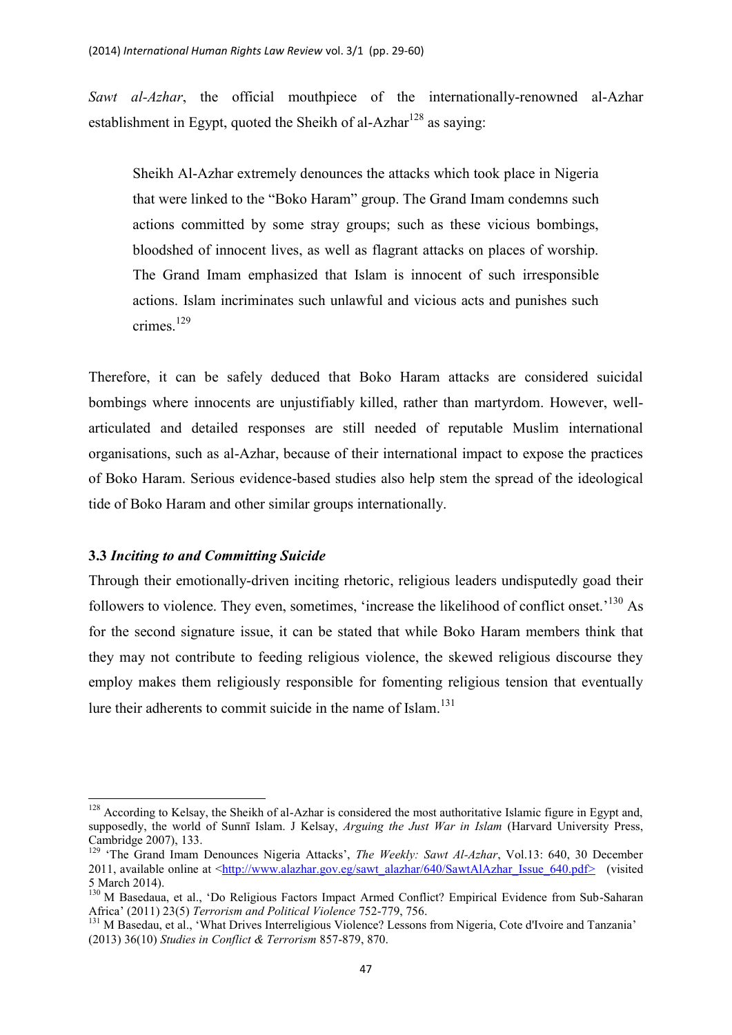*Sawt al-Azhar*, the official mouthpiece of the internationally-renowned al-Azhar establishment in Egypt, quoted the Sheikh of al-Azhar<sup>128</sup> as saying:

Sheikh Al-Azhar extremely denounces the attacks which took place in Nigeria that were linked to the "Boko Haram" group. The Grand Imam condemns such actions committed by some stray groups; such as these vicious bombings, bloodshed of innocent lives, as well as flagrant attacks on places of worship. The Grand Imam emphasized that Islam is innocent of such irresponsible actions. Islam incriminates such unlawful and vicious acts and punishes such crimes.<sup>129</sup>

Therefore, it can be safely deduced that Boko Haram attacks are considered suicidal bombings where innocents are unjustifiably killed, rather than martyrdom. However, wellarticulated and detailed responses are still needed of reputable Muslim international organisations, such as al-Azhar, because of their international impact to expose the practices of Boko Haram. Serious evidence-based studies also help stem the spread of the ideological tide of Boko Haram and other similar groups internationally.

#### **3.3** *Inciting to and Committing Suicide*

-

Through their emotionally-driven inciting rhetoric, religious leaders undisputedly goad their followers to violence. They even, sometimes, 'increase the likelihood of conflict onset.'<sup>130</sup> As for the second signature issue, it can be stated that while Boko Haram members think that they may not contribute to feeding religious violence, the skewed religious discourse they employ makes them religiously responsible for fomenting religious tension that eventually lure their adherents to commit suicide in the name of Islam.<sup>131</sup>

<sup>&</sup>lt;sup>128</sup> According to Kelsay, the Sheikh of al-Azhar is considered the most authoritative Islamic figure in Egypt and, supposedly, the world of Sunnī Islam. J Kelsay, *Arguing the Just War in Islam* (Harvard University Press, Cambridge 2007), 133.

<sup>&</sup>lt;sup>129</sup> 'The Grand Imam Denounces Nigeria Attacks', *The Weekly: Sawt Al-Azhar*, Vol.13: 640, 30 December 2011, available online at [<http://www.alazhar.gov.eg/sawt\\_alazhar/640/SawtAlAzhar\\_Issue\\_640.pdf>](http://www.alazhar.gov.eg/sawt_alazhar/640/SawtAlAzhar_Issue_640.pdf) (visited 5 March 2014).

<sup>&</sup>lt;sup>130</sup> [M Basedau](http://www.tandfonline.com/action/doSearch?action=runSearch&type=advanced&searchType=journal&result=true&prevSearch=%2Bauthorsfield%3A(Basedau%2C+M))a, et al., 'Do Religious Factors Impact Armed Conflict? Empirical Evidence from Sub-Saharan Africa' (2011) 23(5) *Terrorism and Political Violence* 752-779, 756.

<sup>&</sup>lt;sup>131</sup> M Basedau, et al., 'What Drives Interreligious Violence? Lessons from Nigeria, Cote d'Ivoire and Tanzania' (2013) 36(10) *Studies in Conflict & Terrorism* 857-879, 870.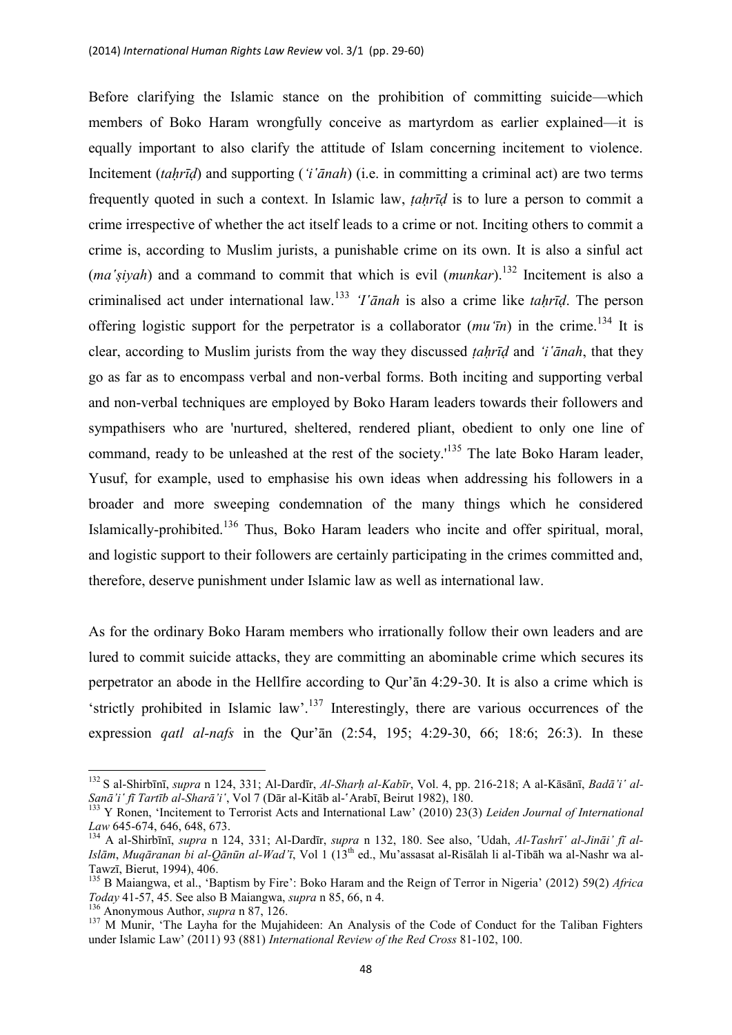Before clarifying the Islamic stance on the prohibition of committing suicide—which members of Boko Haram wrongfully conceive as martyrdom as earlier explained—it is equally important to also clarify the attitude of Islam concerning incitement to violence. Incitement *(tahrīd)* and supporting *('i'ānah)* (i.e. in committing a criminal act) are two terms frequently quoted in such a context. In Islamic law, *tahrid* is to lure a person to commit a crime irrespective of whether the act itself leads to a crime or not. Inciting others to commit a crime is, according to Muslim jurists, a punishable crime on its own. It is also a sinful act (*ma*'siyah) and a command to commit that which is evil (*munkar*).<sup>132</sup> Incitement is also a criminalised act under international law.<sup>133</sup> *'I'ānah* is also a crime like *taḥrīḍ*. The person offering logistic support for the perpetrator is a collaborator  $(mu^{\dagger}n)$  in the crime.<sup>134</sup> It is clear, according to Muslim jurists from the way they discussed *tahrīd* and *'i'anah*, that they go as far as to encompass verbal and non-verbal forms. Both inciting and supporting verbal and non-verbal techniques are employed by Boko Haram leaders towards their followers and sympathisers who are 'nurtured, sheltered, rendered pliant, obedient to only one line of command, ready to be unleashed at the rest of the society.<sup>135</sup> The late Boko Haram leader, Yusuf, for example, used to emphasise his own ideas when addressing his followers in a broader and more sweeping condemnation of the many things which he considered Islamically-prohibited.<sup>136</sup> Thus, Boko Haram leaders who incite and offer spiritual, moral, and logistic support to their followers are certainly participating in the crimes committed and, therefore, deserve punishment under Islamic law as well as international law.

As for the ordinary Boko Haram members who irrationally follow their own leaders and are lured to commit suicide attacks, they are committing an abominable crime which secures its perpetrator an abode in the Hellfire according to Qur'an 4:29-30. It is also a crime which is 'strictly prohibited in Islamic law'.<sup>137</sup> Interestingly, there are various occurrences of the expression *gatl al-nafs* in the Our'an  $(2:54, 195; 4:29-30, 66; 18:6; 26:3)$ . In these

<sup>&</sup>lt;sup>132</sup> S al-Shirbīnī, *supra* n 124, 331; Al-Dardīr, Al-Sharh al-Kabīr, Vol. 4, pp. 216-218; A al-Kāsānī, Badā'i' al-*Sanā'iʽ fī Tartīb al-Sharā'iʽ*, Vol 7 (DƗr al-KitƗb al-ʽArabī, Beirut 1982), 180.

<sup>133</sup> [Y Ronen](http://www.researchgate.net/researcher/2033607424_YAEL_RONEN/), 'Incitement to Terrorist Acts and International Law' (2010) 23(3) *[Leiden Journal of International](http://www.researchgate.net/journal/1478-9698_Leiden_Journal_of_International_Law)  [Law](http://www.researchgate.net/journal/1478-9698_Leiden_Journal_of_International_Law)* 645-674, 646, 648, 673.

<sup>134</sup> A al-Shirbīnī, *supra* n 124, 331; Al-Dardīr, *supra* n 132, 180. See also, ʽUdah, *Al-Tashrīʽ al-Jināi' fī al-Islām*, *Muqāranan bi al-Qānūn al-Wad'ī*, Vol 1 (13th ed., Mu'assasat al-RisƗlah li al-TibƗh wa al-Nashr wa al-Tawzī, Bierut, 1994), 406.

<sup>135</sup> B Maiangwa, et al., 'Baptism by Fire': Boko Haram and the Reign of Terror in Nigeria' (2012) 59(2) *Africa Today* 41-57, 45. See also B Maiangwa, *supra* n 85, 66, n 4.

<sup>136</sup> Anonymous Author, *supra* n 87, 126.

<sup>&</sup>lt;sup>137</sup> M Munir, 'The Layha for the Mujahideen: An Analysis of the Code of Conduct for the Taliban Fighters under Islamic Law' (2011) 93 (881) *International Review of the Red Cross* 81-102, 100.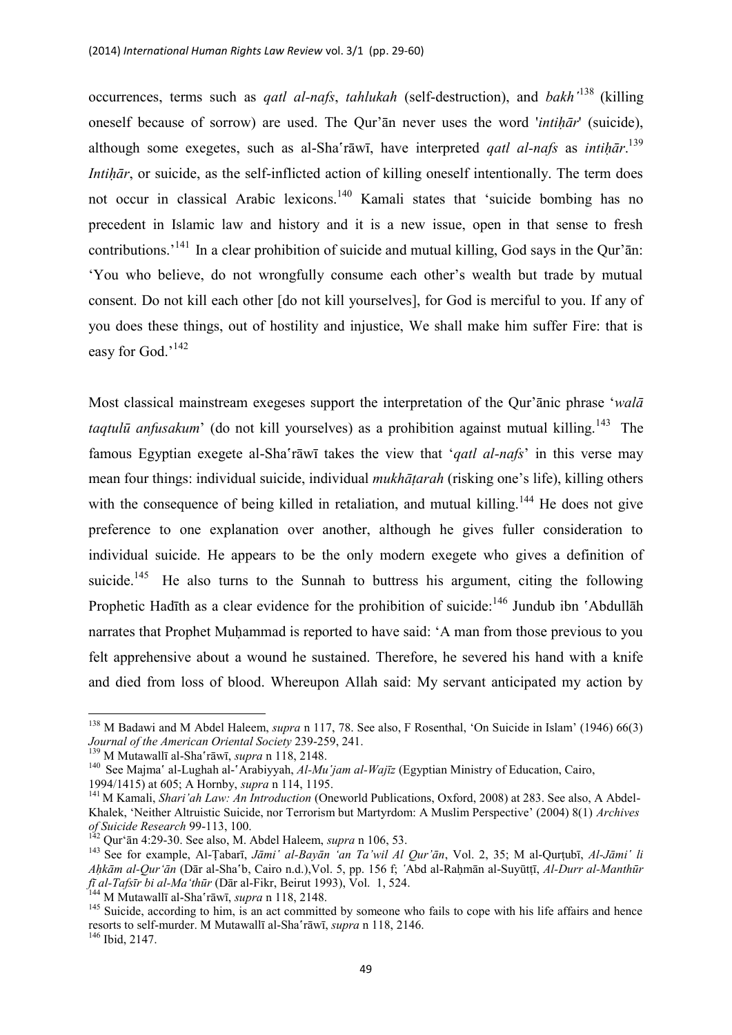occurrences, terms such as *qatl al-nafs*, *tahlukah* (self-destruction), and *bakhʽ*<sup>138</sup> (killing oneself because of sorrow) are used. The Qur'an never uses the word '*intihar*' (suicide), although some exegetes, such as al-Shaʿrāwī, have interpreted *qatl al-nafs* as *intiḥār*.<sup>139</sup> *Intihār*, or suicide, as the self-inflicted action of killing oneself intentionally. The term does not occur in classical Arabic lexicons.<sup>140</sup> Kamali states that 'suicide bombing has no precedent in Islamic law and history and it is a new issue, open in that sense to fresh contributions.<sup>'141</sup> In a clear prohibition of suicide and mutual killing, God says in the Our' $\bar{a}$ n: 'You who believe, do not wrongfully consume each other's wealth but trade by mutual consent. Do not kill each other [do not kill yourselves], for God is merciful to you. If any of you does these things, out of hostility and injustice, We shall make him suffer Fire: that is easy for God.'<sup>142</sup>

Most classical mainstream exegeses support the interpretation of the Our'anic phrase '*wala* taqtulū anfusakum' (do not kill yourselves) as a prohibition against mutual killing.<sup>143</sup> The famous Egyptian exegete al-Sha<sup>s</sup> rāwī takes the view that '*qatl al-nafs*' in this verse may mean four things: individual suicide, individual *mukhātarah* (risking one's life), killing others with the consequence of being killed in retaliation, and mutual killing.<sup>144</sup> He does not give preference to one explanation over another, although he gives fuller consideration to individual suicide. He appears to be the only modern exegete who gives a definition of suicide.<sup>145</sup> He also turns to the Sunnah to buttress his argument, citing the following Prophetic Hadīth as a clear evidence for the prohibition of suicide: $146$  Jundub ibn `Abdull $\bar{a}$ h narrates that Prophet Muhammad is reported to have said: 'A man from those previous to you felt apprehensive about a wound he sustained. Therefore, he severed his hand with a knife and died from loss of blood. Whereupon Allah said: My servant anticipated my action by

1994/1415) at 605; A Hornby, *supra* n 114, 1195.

<sup>144</sup> M Mutawallī al-Shaʿrāwī, *supra* n 118, 2148.

<sup>138</sup> M Badawi and M Abdel Haleem, *supra* n 117, 78. See also, F Rosenthal, 'On Suicide in Islam' (1946) 66(3) *Journal of the American Oriental Society* 239-259, 241.

<sup>&</sup>lt;sup>139</sup> M Mutawallī al-Shaʿrāwī, *supra* n 118, 2148.

<sup>&</sup>lt;sup>140</sup> See Majmaʿ al-Lughah al-ʿArabiyyah, *Al-Mu'jam al-Wajīz* (Egyptian Ministry of Education, Cairo,

<sup>141</sup> M Kamali, *Shari'ah Law: An Introduction* (Oneworld Publications, Oxford, 2008) at 283. See also, A Abdel-Khalek, 'Neither Altruistic Suicide, nor Terrorism but Martyrdom: A Muslim Perspective' (2004) 8(1) *Archives of Suicide Research* 99-113, 100.

<sup>&</sup>lt;sup>142</sup> Qur'ān 4:29-30. See also, M. Abdel Haleem, *supra* n 106, 53.

<sup>&</sup>lt;sup>143</sup> See for example, Al-Țabarī, *Jāmi' al-Bayān 'an Ta'wil Al Qur'ān*, Vol. 2, 35; M al-Qurțubī, *Al-Jāmi' li Aۊkām al-Qur'ān* (DƗr al-Shaʽb, Cairo n.d.),Vol. 5, pp. 156 f; *ʽ*Abd al-RaতmƗn al-Suyūt৬ī, *Al-Durr al-Manthūr fī al-Tafsīr bi al-Ma'thūr* (DƗr al-Fikr, Beirut 1993), Vol. 1, 524.

<sup>&</sup>lt;sup>145</sup> Suicide, according to him, is an act committed by someone who fails to cope with his life affairs and hence resorts to self-murder. M Mutawallī al-Shaʿrāwī, *supra* n 118, 2146.

<sup>146</sup> Ibid, 2147.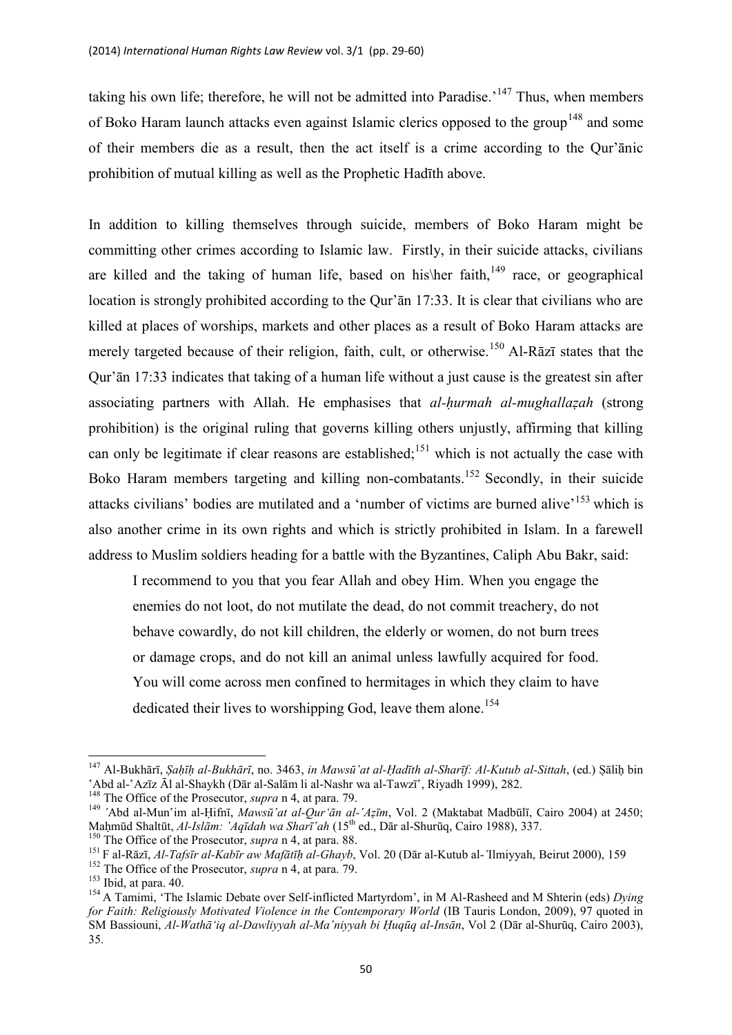taking his own life; therefore, he will not be admitted into Paradise.<sup> $147$ </sup> Thus, when members of Boko Haram launch attacks even against Islamic clerics opposed to the group<sup>148</sup> and some of their members die as a result, then the act itself is a crime according to the Qur'anic prohibition of mutual killing as well as the Prophetic Hadīth above.

In addition to killing themselves through suicide, members of Boko Haram might be committing other crimes according to Islamic law. Firstly, in their suicide attacks, civilians are killed and the taking of human life, based on his $\hbar^{149}$  race, or geographical location is strongly prohibited according to the Qur'an 17:33. It is clear that civilians who are killed at places of worships, markets and other places as a result of Boko Haram attacks are merely targeted because of their religion, faith, cult, or otherwise.<sup>150</sup> Al-R $\bar{a}z\bar{i}$  states that the Qur' $\bar{a}$ n 17:33 indicates that taking of a human life without a just cause is the greatest sin after associating partners with Allah. He emphasises that *al-hurmah al-mughallazah* (strong prohibition) is the original ruling that governs killing others unjustly, affirming that killing can only be legitimate if clear reasons are established;<sup>151</sup> which is not actually the case with Boko Haram members targeting and killing non-combatants.<sup>152</sup> Secondly, in their suicide attacks civilians' bodies are mutilated and a 'number of victims are burned alive'<sup>153</sup> which is also another crime in its own rights and which is strictly prohibited in Islam. In a farewell address to Muslim soldiers heading for a battle with the Byzantines, Caliph Abu Bakr, said:

I recommend to you that you fear Allah and obey Him. When you engage the enemies do not loot, do not mutilate the dead, do not commit treachery, do not behave cowardly, do not kill children, the elderly or women, do not burn trees or damage crops, and do not kill an animal unless lawfully acquired for food. You will come across men confined to hermitages in which they claim to have dedicated their lives to worshipping God, leave them alone.<sup>154</sup>

<sup>148</sup> The Office of the Prosecutor, *supra* n 4, at para. 79.

<sup>150</sup> The Office of the Prosecutor, *supra* n 4, at para. 88.

.<br>-

<sup>147</sup> Al-Bukhārī, *Sahīh al-Bukhārī*, no. 3463, *in Mawsū'at al-Ḥadīth al-Sharīf: Al-Kutub al-Sittah*, (ed.) Ṣāliḥ bin ʽAbd al-ʽAzīz Ɩl al-Shaykh (DƗr al-SalƗm li al-Nashr wa al-Tawzīʽ, Riyadh 1999), 282.

<sup>&</sup>lt;sup>149</sup> 'Abd al-Munʿim al-Ḥifnī, *Mawsūʿat al-Qurʿān al-ʿAẓīm*, Vol. 2 (Maktabat Madbūlī, Cairo 2004) at 2450; Mahmūd Shaltūt, *Al-Islām: 'Aqīdah wa Sharī'ah* (15<sup>th</sup> ed., Dār al-Shurūq, Cairo 1988), 337.

<sup>&</sup>lt;sup>151</sup> F al-Rāzī, Al-Tafsīr al-Kabīr aw Mafātīh al-Ghayb, Vol. 20 (Dār al-Kutub al-*Ilmiyyah, Beirut 2000)*, 159

<sup>152</sup> The Office of the Prosecutor, *supra* n 4, at para. 79.

<sup>&</sup>lt;sup>153</sup> Ibid, at para. 40.

<sup>154</sup>A Tamimi, 'The Islamic Debate over Self-inflicted Martyrdom', in M Al-Rasheed and M Shterin (eds) *Dying for Faith: Religiously Motivated Violence in the Contemporary World* (IB Tauris London, 2009), 97 quoted in SM Bassiouni, *Al-Wathā'iq al-Dawliyyah al-Maʽniyyah bi ۉuqūq al-Insān*, Vol 2 (DƗr al-Shurūq, Cairo 2003), 35.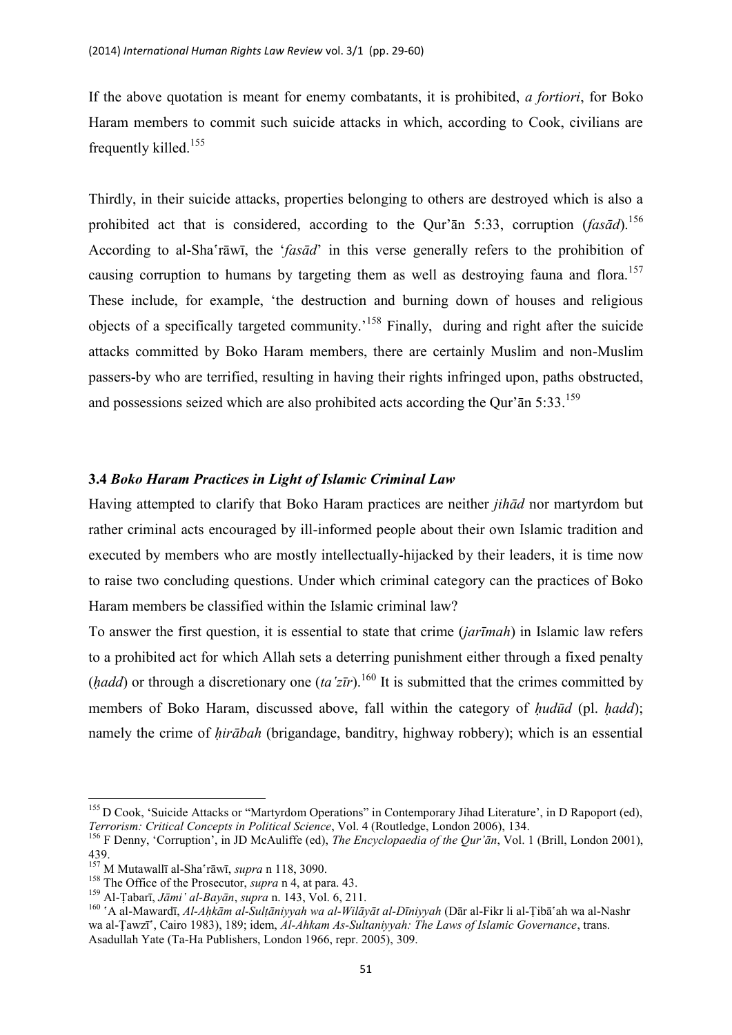If the above quotation is meant for enemy combatants, it is prohibited, *a fortiori*, for Boko Haram members to commit such suicide attacks in which, according to Cook, civilians are frequently killed.<sup>155</sup>

Thirdly, in their suicide attacks, properties belonging to others are destroyed which is also a prohibited act that is considered, according to the Qur' $\bar{a}$ n 5:33, corruption (*fas* $\bar{a}d$ ).<sup>156</sup> According to al-Sha<sup>s</sup>raw<sub>1</sub>, the '*fasad*' in this verse generally refers to the prohibition of causing corruption to humans by targeting them as well as destroying fauna and flora.<sup>157</sup> These include, for example, 'the destruction and burning down of houses and religious objects of a specifically targeted community.'<sup>158</sup> Finally, during and right after the suicide attacks committed by Boko Haram members, there are certainly Muslim and non-Muslim passers-by who are terrified, resulting in having their rights infringed upon, paths obstructed, and possessions seized which are also prohibited acts according the Our' $\bar{a}$ n 5:33.<sup>159</sup>

# **3.4** *Boko Haram Practices in Light of Islamic Criminal Law*

Having attempted to clarify that Boko Haram practices are neither *jihād* nor martyrdom but rather criminal acts encouraged by ill-informed people about their own Islamic tradition and executed by members who are mostly intellectually-hijacked by their leaders, it is time now to raise two concluding questions. Under which criminal category can the practices of Boko Haram members be classified within the Islamic criminal law?

To answer the first question, it is essential to state that crime (*jarīmah*) in Islamic law refers to a prohibited act for which Allah sets a deterring punishment either through a fixed penalty (*hadd*) or through a discretionary one (*ta*'z $\bar{t}$ *r*).<sup>160</sup> It is submitted that the crimes committed by members of Boko Haram, discussed above, fall within the category of *hudūd* (pl. *hadd*); namely the crime of *hirābah* (brigandage, banditry, highway robbery); which is an essential

<sup>&</sup>lt;sup>155</sup> D Cook, 'Suicide Attacks or "Martyrdom Operations" in Contemporary Jihad Literature', in D Rapoport (ed), *Terrorism: Critical Concepts in Political Science*, Vol. 4 (Routledge, London 2006), 134.

<sup>156</sup> F Denny, 'Corruption', in JD McAuliffe (ed), *The Encyclopaedia of the Qur'ān*, Vol. 1 (Brill, London 2001), 439.

<sup>&</sup>lt;sup>157</sup> M Mutawallī al-Shaʿrāwī, *supra* n 118, 3090.

<sup>158</sup> The Office of the Prosecutor, *supra* n 4, at para. 43.

<sup>159</sup> Al-৫abarī, *Jāmiʽ al-Bayān*, *supra* n. 143, Vol. 6, 211.

<sup>&</sup>lt;sup>160</sup> ʿA al-Mawardī, *Al-Ahkām al-Sultāniyyah wa al-Wilāyāt al-Dīniyyah* (Dār al-Fikr li al-Țibāʿah wa al-Nashr wa al-Tawzīʿ, Cairo 1983), 189; idem, *Al-Ahkam As-Sultaniyyah: The Laws of Islamic Governance*, trans. Asadullah Yate (Ta-Ha Publishers, London 1966, repr. 2005), 309.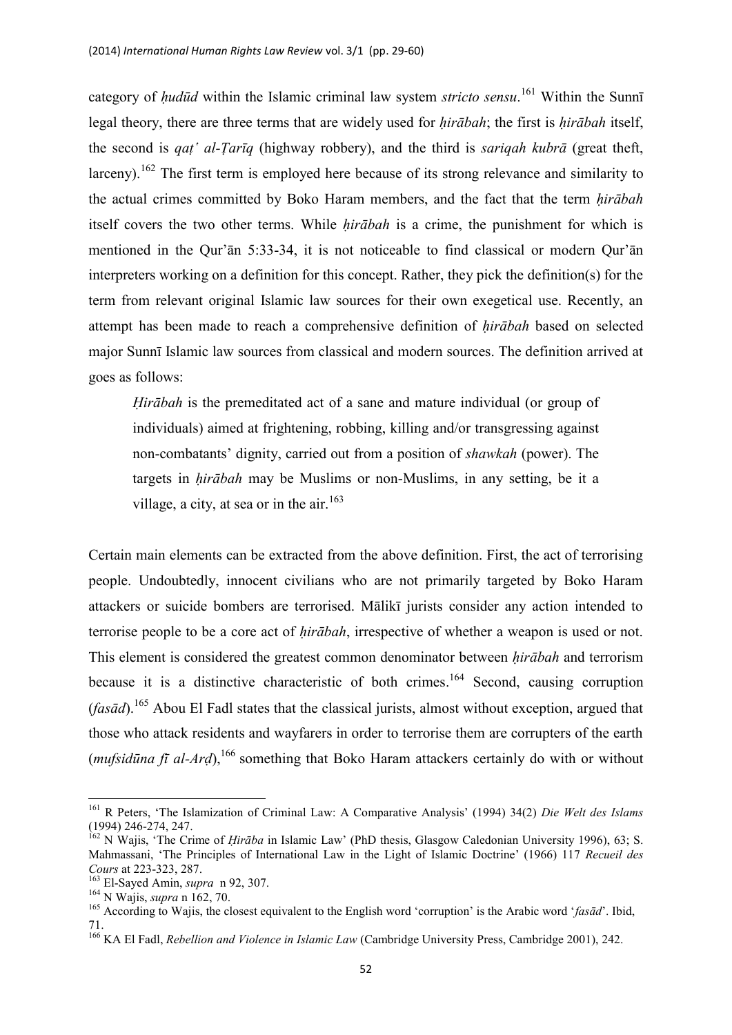category of *hudūd* within the Islamic criminal law system *stricto sensu*.<sup>161</sup> Within the Sunnī legal theory, there are three terms that are widely used for *hirābah*; the first is *hirābah* itself, the second is *qat' al-Tarīq* (highway robbery), and the third is *sariqah kubrā* (great theft, larceny).<sup>162</sup> The first term is employed here because of its strong relevance and similarity to the actual crimes committed by Boko Haram members, and the fact that the term *hirābah* itself covers the two other terms. While *hirābah* is a crime, the punishment for which is mentioned in the Qur'ān 5:33-34, it is not noticeable to find classical or modern Qur'ān interpreters working on a definition for this concept. Rather, they pick the definition(s) for the term from relevant original Islamic law sources for their own exegetical use. Recently, an attempt has been made to reach a comprehensive definition of *hirābah* based on selected major Sunnī Islamic law sources from classical and modern sources. The definition arrived at goes as follows:

*Hirābah* is the premeditated act of a sane and mature individual (or group of individuals) aimed at frightening, robbing, killing and/or transgressing against non-combatants' dignity, carried out from a position of *shawkah* (power). The targets in *hirābah* may be Muslims or non-Muslims, in any setting, be it a village, a city, at sea or in the air.<sup>163</sup>

Certain main elements can be extracted from the above definition. First, the act of terrorising people. Undoubtedly, innocent civilians who are not primarily targeted by Boko Haram attackers or suicide bombers are terrorised. MƗlikī jurists consider any action intended to terrorise people to be a core act of *hirābah*, irrespective of whether a weapon is used or not. This element is considered the greatest common denominator between *hirābah* and terrorism because it is a distinctive characteristic of both crimes.<sup>164</sup> Second, causing corruption (*fasād*).<sup>165</sup> Abou El Fadl states that the classical jurists, almost without exception, argued that those who attack residents and wayfarers in order to terrorise them are corrupters of the earth (*mufsidūna fī al-Arḍ*),<sup>166</sup> something that Boko Haram attackers certainly do with or without

<sup>161</sup> R Peters, 'The Islamization of Criminal Law: A Comparative Analysis' (1994) 34(2) *Die Welt des Islams* (1994) 246-274, 247.

<sup>&</sup>lt;sup>162</sup> N Wajis, 'The Crime of *Hirāba* in Islamic Law' (PhD thesis, Glasgow Caledonian University 1996), 63; S. Mahmassani, 'The Principles of International Law in the Light of Islamic Doctrine' (1966) 117 *Recueil des Cours* at 223-323, 287.

<sup>163</sup> El-Sayed Amin, *supra* n 92, 307.

<sup>164</sup> N Wajis, *supra* n 162, 70.

<sup>165</sup> According to Wajis, the closest equivalent to the English word 'corruption' is the Arabic word '*fasād*'. Ibid, 71.

<sup>166</sup> KA El Fadl, *Rebellion and Violence in Islamic Law* (Cambridge University Press, Cambridge 2001), 242.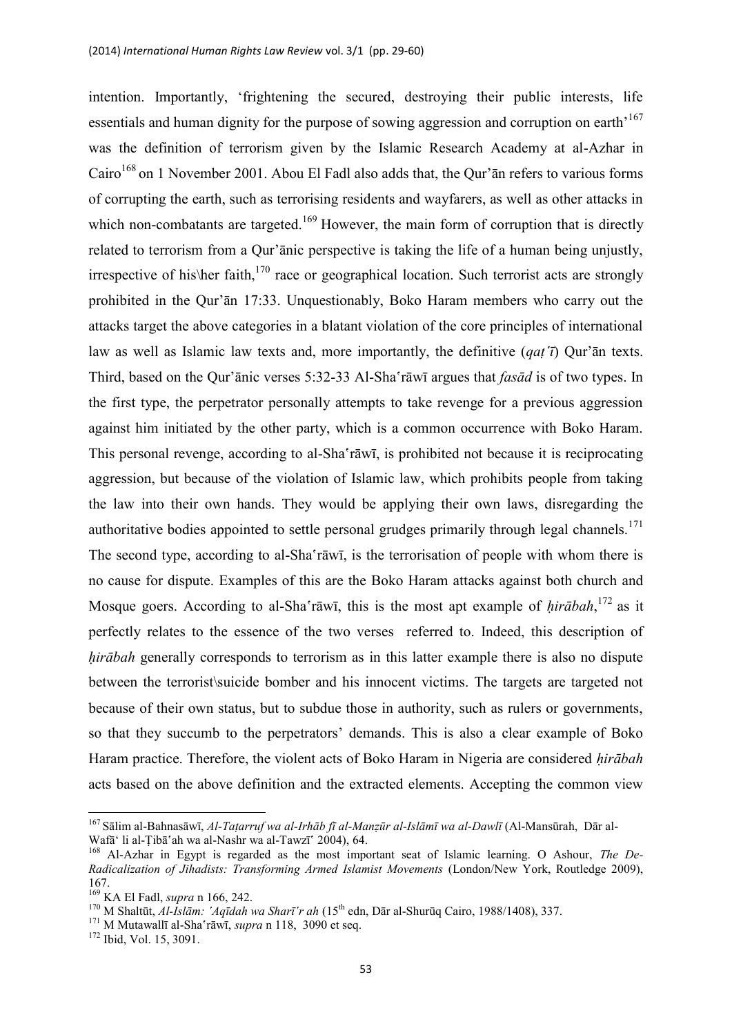intention. Importantly, 'frightening the secured, destroying their public interests, life essentials and human dignity for the purpose of sowing aggression and corruption on earth<sup>167</sup> was the definition of terrorism given by the Islamic Research Academy at al-Azhar in Cairo<sup>168</sup> on 1 November 2001. Abou El Fadl also adds that, the Qur'an refers to various forms of corrupting the earth, such as terrorising residents and wayfarers, as well as other attacks in which non-combatants are targeted.<sup>169</sup> However, the main form of corruption that is directly related to terrorism from a Our'ānic perspective is taking the life of a human being unjustly. irrespective of his\her faith, $170$  race or geographical location. Such terrorist acts are strongly prohibited in the Qur'ān 17:33. Unquestionably, Boko Haram members who carry out the attacks target the above categories in a blatant violation of the core principles of international law as well as Islamic law texts and, more importantly, the definitive (*qat'i*) Our'an texts. Third, based on the Qur'anic verses 5:32-33 Al-Sha'rawī argues that *fasad* is of two types. In the first type, the perpetrator personally attempts to take revenge for a previous aggression against him initiated by the other party, which is a common occurrence with Boko Haram. This personal revenge, according to al-Shaʿrāwī, is prohibited not because it is reciprocating aggression, but because of the violation of Islamic law, which prohibits people from taking the law into their own hands. They would be applying their own laws, disregarding the authoritative bodies appointed to settle personal grudges primarily through legal channels.<sup>171</sup> The second type, according to al-Sha $\overline{r}$  awi, is the terrorisation of people with whom there is no cause for dispute. Examples of this are the Boko Haram attacks against both church and Mosque goers. According to al-Shaʿrāwī, this is the most apt example of *hirābah*,<sup>172</sup> as it perfectly relates to the essence of the two verses referred to. Indeed, this description of *hirābah* generally corresponds to terrorism as in this latter example there is also no dispute between the terrorist\suicide bomber and his innocent victims. The targets are targeted not because of their own status, but to subdue those in authority, such as rulers or governments, so that they succumb to the perpetrators' demands. This is also a clear example of Boko Haram practice. Therefore, the violent acts of Boko Haram in Nigeria are considered *hirābah* acts based on the above definition and the extracted elements. Accepting the common view

.<br>-

<sup>&</sup>lt;sup>167</sup> Sālim al-Bahnasāwī, *Al-Taṭarruf wa al-Irhāb fī al-Manzūr al-Islāmī wa al-Dawlī* (Al-Mansūrah, Dār al-Wafā' li al-Tibā'ah wa al-Nashr wa al-Tawzī' 2004), 64.

<sup>168</sup> Al-Azhar in Egypt is regarded as the most important seat of Islamic learning. O Ashour, *The De-Radicalization of Jihadists: Transforming Armed Islamist Movements* (London/New York, Routledge 2009), 167.

<sup>169</sup> KA El Fadl, *supra* n 166, 242.

<sup>170</sup> M Shaltūt, *Al-Islām: 'Aqīdah wa Sharī'r ah* (15<sup>th</sup> edn, Dār al-Shurūq Cairo, 1988/1408), 337.

<sup>&</sup>lt;sup>171</sup> M Mutawallī al-Shaʿrāwī, *supra* n 118, 3090 et seq.

<sup>172</sup> Ibid, Vol. 15, 3091.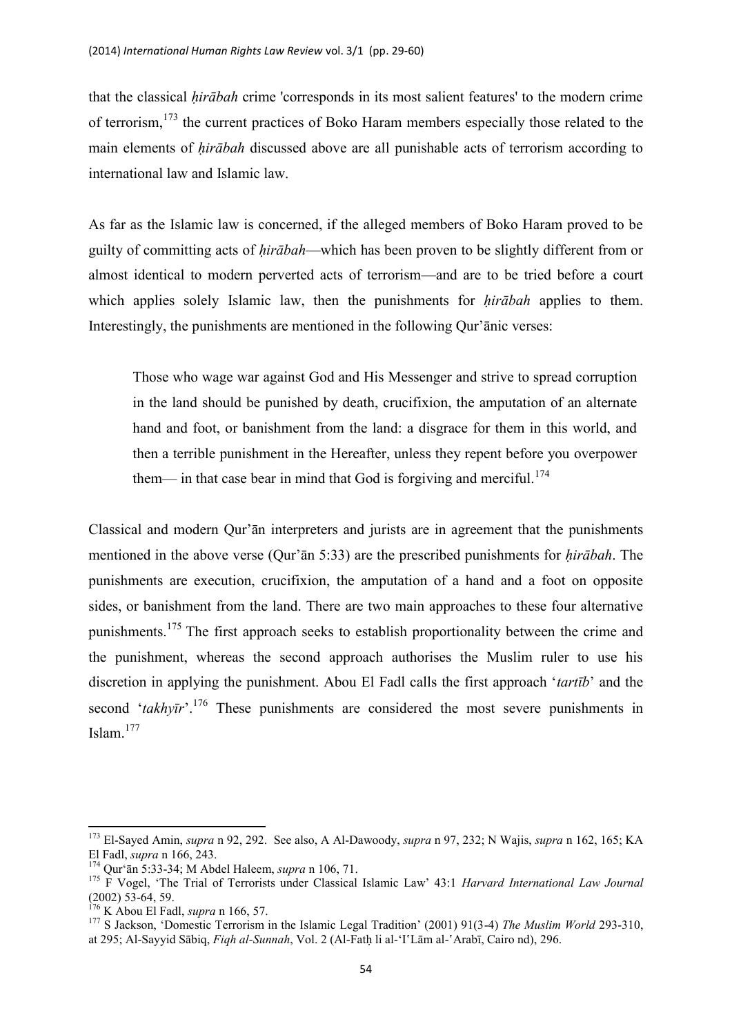that the classical *ۊirābah* crime 'corresponds in its most salient features' to the modern crime of terrorism,<sup>173</sup> the current practices of Boko Haram members especially those related to the main elements of *hirābah* discussed above are all punishable acts of terrorism according to international law and Islamic law.

As far as the Islamic law is concerned, if the alleged members of Boko Haram proved to be guilty of committing acts of *hirābah*—which has been proven to be slightly different from or almost identical to modern perverted acts of terrorism—and are to be tried before a court which applies solely Islamic law, then the punishments for *hirābah* applies to them. Interestingly, the punishments are mentioned in the following Qur'anic verses:

Those who wage war against God and His Messenger and strive to spread corruption in the land should be punished by death, crucifixion, the amputation of an alternate hand and foot, or banishment from the land: a disgrace for them in this world, and then a terrible punishment in the Hereafter, unless they repent before you overpower them— in that case bear in mind that God is forgiving and merciful.<sup>174</sup>

Classical and modern Qur'ān interpreters and jurists are in agreement that the punishments mentioned in the above verse (Qur'ān 5:33) are the prescribed punishments for *hirābah*. The punishments are execution, crucifixion, the amputation of a hand and a foot on opposite sides, or banishment from the land. There are two main approaches to these four alternative punishments.<sup>175</sup> The first approach seeks to establish proportionality between the crime and the punishment, whereas the second approach authorises the Muslim ruler to use his discretion in applying the punishment. Abou El Fadl calls the first approach '*tartīb*' and the second 'takhyīr'.<sup>176</sup> These punishments are considered the most severe punishments in Islam. $177$ 

<sup>173</sup> El-Sayed Amin, *supra* n 92, 292. See also, A Al-Dawoody, *supra* n 97, 232; N Wajis, *supra* n 162, 165; KA El Fadl, *supra* n 166, 243.

<sup>&</sup>lt;sup>174</sup> Our<sup>'</sup>ān 5:33-34; M Abdel Haleem, *supra* n 106, 71.

<sup>175</sup> F Vogel, 'The Trial of Terrorists under Classical Islamic Law' 43:1 *Harvard International Law Journal* (2002) 53-64, 59.

<sup>176</sup> K Abou El Fadl, *supra* n 166, 57.

<sup>177</sup> S Jackson, 'Domestic Terrorism in the Islamic Legal Tradition' (2001) 91(3-4) *The Muslim World* 293-310, at 295; Al-Sayyid Sābig, *Figh al-Sunnah*, Vol. 2 (Al-Fath li al-'I'Lam al-ʿArabī, Cairo nd), 296.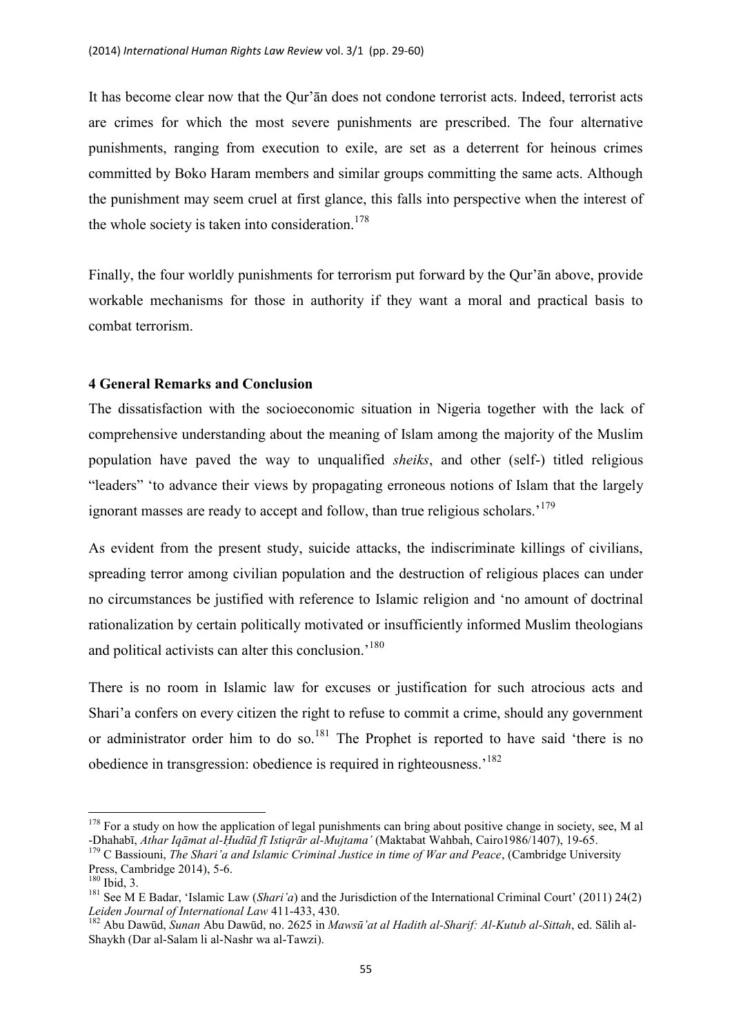It has become clear now that the Qur'an does not condone terrorist acts. Indeed, terrorist acts are crimes for which the most severe punishments are prescribed. The four alternative punishments, ranging from execution to exile, are set as a deterrent for heinous crimes committed by Boko Haram members and similar groups committing the same acts. Although the punishment may seem cruel at first glance, this falls into perspective when the interest of the whole society is taken into consideration.<sup>178</sup>

Finally, the four worldly punishments for terrorism put forward by the Qur'an above, provide workable mechanisms for those in authority if they want a moral and practical basis to combat terrorism.

# **4 General Remarks and Conclusion**

The dissatisfaction with the socioeconomic situation in Nigeria together with the lack of comprehensive understanding about the meaning of Islam among the majority of the Muslim population have paved the way to unqualified *sheiks*, and other (self-) titled religious "leaders" 'to advance their views by propagating erroneous notions of Islam that the largely ignorant masses are ready to accept and follow, than true religious scholars.<sup>179</sup>

As evident from the present study, suicide attacks, the indiscriminate killings of civilians, spreading terror among civilian population and the destruction of religious places can under no circumstances be justified with reference to Islamic religion and 'no amount of doctrinal rationalization by certain politically motivated or insufficiently informed Muslim theologians and political activists can alter this conclusion.<sup>180</sup>

There is no room in Islamic law for excuses or justification for such atrocious acts and Shari'a confers on every citizen the right to refuse to commit a crime, should any government or administrator order him to do so.<sup>181</sup> The Prophet is reported to have said 'there is no obedience in transgression: obedience is required in righteousness.<sup>182</sup>

.<br>-

 $178$  For a study on how the application of legal punishments can bring about positive change in society, see, M al -Dhahabī, *Athar Iqāmat al-ۉudūd fī Istiqrār al-Mujtamaʽ* (Maktabat Wahbah, Cairo1986/1407), 19-65.

<sup>&</sup>lt;sup>179</sup> C Bassiouni, *The Shari'a and Islamic Criminal Justice in time of War and Peace*, (Cambridge University Press, Cambridge 2014), 5-6.

<sup>180</sup> Ibid, 3.

<sup>&</sup>lt;sup>181</sup> See M E Badar, 'Islamic Law (*Shari'a*) and the Jurisdiction of the International Criminal Court' (2011) 24(2) *Leiden Journal of International Law* 411-433, 430.

<sup>182</sup> Abu Dawūd, *Sunan* Abu Dawūd, no. 2625 in *Mawsū'at al Hadith al-Sharif: Al-Kutub al-Sittah*, ed. SƗlih al-Shaykh (Dar al-Salam li al-Nashr wa al-Tawzi).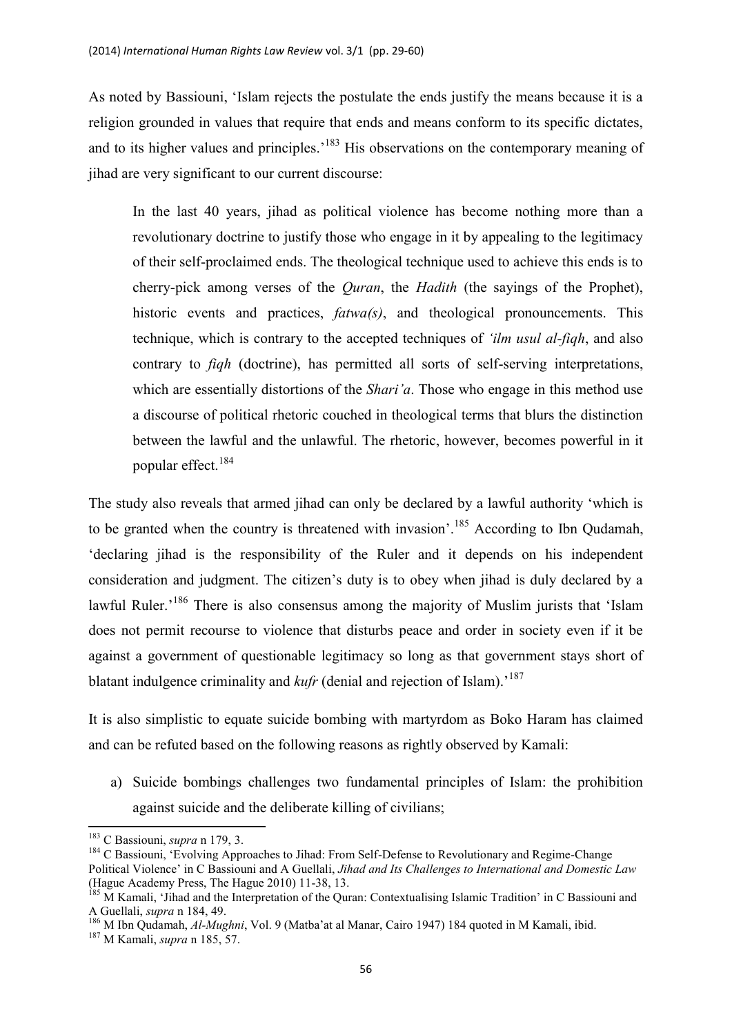As noted by Bassiouni, 'Islam rejects the postulate the ends justify the means because it is a religion grounded in values that require that ends and means conform to its specific dictates, and to its higher values and principles.<sup>183</sup> His observations on the contemporary meaning of jihad are very significant to our current discourse:

In the last 40 years, jihad as political violence has become nothing more than a revolutionary doctrine to justify those who engage in it by appealing to the legitimacy of their self-proclaimed ends. The theological technique used to achieve this ends is to cherry-pick among verses of the *Quran*, the *Hadith* (the sayings of the Prophet), historic events and practices, *fatwa(s)*, and theological pronouncements. This technique, which is contrary to the accepted techniques of *'ilm usul al-fiqh*, and also contrary to *fiqh* (doctrine), has permitted all sorts of self-serving interpretations, which are essentially distortions of the *Shari'a*. Those who engage in this method use a discourse of political rhetoric couched in theological terms that blurs the distinction between the lawful and the unlawful. The rhetoric, however, becomes powerful in it popular effect.<sup>184</sup>

The study also reveals that armed jihad can only be declared by a lawful authority 'which is to be granted when the country is threatened with invasion'.<sup>185</sup> According to Ibn Qudamah, 'declaring jihad is the responsibility of the Ruler and it depends on his independent consideration and judgment. The citizen's duty is to obey when jihad is duly declared by a lawful Ruler.<sup>186</sup> There is also consensus among the majority of Muslim jurists that 'Islam does not permit recourse to violence that disturbs peace and order in society even if it be against a government of questionable legitimacy so long as that government stays short of blatant indulgence criminality and *kufr* (denial and rejection of Islam).<sup>187</sup>

It is also simplistic to equate suicide bombing with martyrdom as Boko Haram has claimed and can be refuted based on the following reasons as rightly observed by Kamali:

a) Suicide bombings challenges two fundamental principles of Islam: the prohibition against suicide and the deliberate killing of civilians;

<sup>183</sup> C Bassiouni, *supra* n 179, 3.

<sup>&</sup>lt;sup>184</sup> C Bassiouni, 'Evolving Approaches to Jihad: From Self-Defense to Revolutionary and Regime-Change Political Violence' in C Bassiouni and A Guellali, *Jihad and Its Challenges to International and Domestic Law* (Hague Academy Press, The Hague 2010) 11-38, 13.

<sup>&</sup>lt;sup>185</sup> M Kamali, 'Jihad and the Interpretation of the Quran: Contextualising Islamic Tradition' in C Bassiouni and A Guellali, *supra* n 184, 49.

<sup>186</sup> M Ibn Qudamah, *Al-Mughni*, Vol. 9 (Matba'at al Manar, Cairo 1947) 184 quoted in M Kamali, ibid.

<sup>187</sup> M Kamali, *supra* n 185, 57.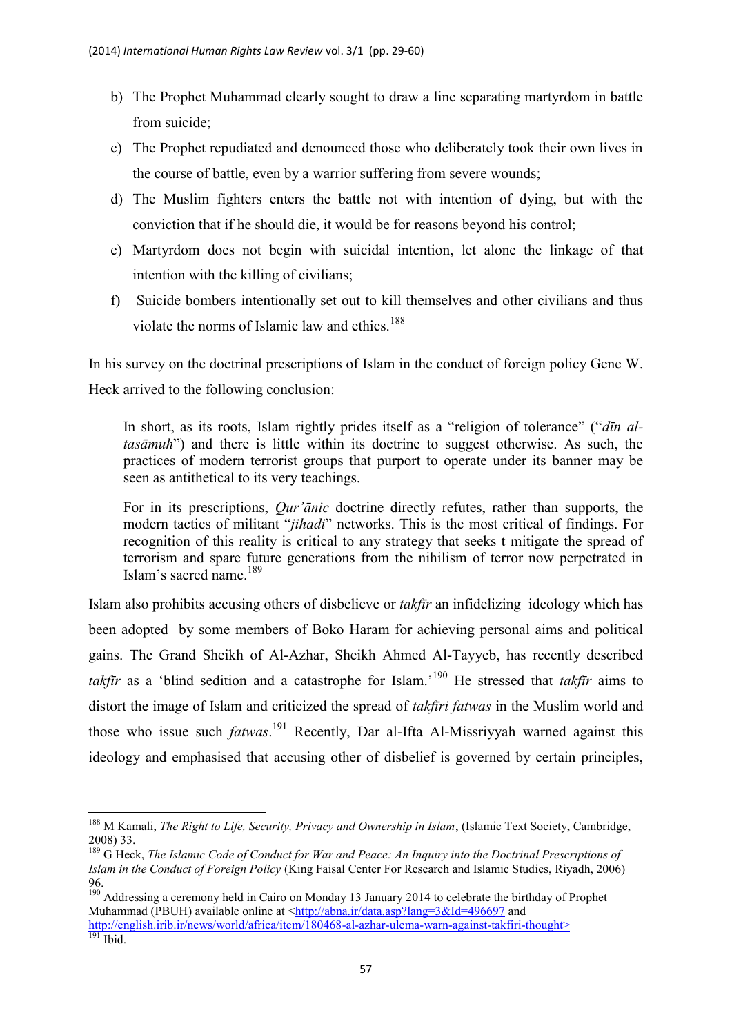- b) The Prophet Muhammad clearly sought to draw a line separating martyrdom in battle from suicide;
- c) The Prophet repudiated and denounced those who deliberately took their own lives in the course of battle, even by a warrior suffering from severe wounds;
- d) The Muslim fighters enters the battle not with intention of dying, but with the conviction that if he should die, it would be for reasons beyond his control;
- e) Martyrdom does not begin with suicidal intention, let alone the linkage of that intention with the killing of civilians;
- f) Suicide bombers intentionally set out to kill themselves and other civilians and thus violate the norms of Islamic law and ethics. $188$

In his survey on the doctrinal prescriptions of Islam in the conduct of foreign policy Gene W. Heck arrived to the following conclusion:

In short, as its roots, Islam rightly prides itself as a "religion of tolerance" ("*dīn altasāmuh*") and there is little within its doctrine to suggest otherwise. As such, the practices of modern terrorist groups that purport to operate under its banner may be seen as antithetical to its very teachings.

For in its prescriptions, *Qur'ānic* doctrine directly refutes, rather than supports, the modern tactics of militant "*jihadi*" networks. This is the most critical of findings. For recognition of this reality is critical to any strategy that seeks t mitigate the spread of terrorism and spare future generations from the nihilism of terror now perpetrated in Islam's sacred name.<sup>189</sup>

Islam also prohibits accusing others of disbelieve or *takfīr* an infidelizing ideology which has been adopted by some members of Boko Haram for achieving personal aims and political gains. The Grand Sheikh of Al-Azhar, Sheikh Ahmed Al-Tayyeb, has recently described *takfīr* as a 'blind sedition and a catastrophe for Islam.'<sup>190</sup> He stressed that *takfīr* aims to distort the image of Islam and criticized the spread of *takfīri fatwas* in the Muslim world and those who issue such *fatwas*. <sup>191</sup> Recently, Dar al-Ifta Al-Missriyyah warned against this ideology and emphasised that accusing other of disbelief is governed by certain principles,

.<br>-

<sup>&</sup>lt;sup>188</sup> M Kamali, *The Right to Life, Security, Privacy and Ownership in Islam*, (Islamic Text Society, Cambridge, 2008) 33.

<sup>189</sup> G Heck, *The Islamic Code of Conduct for War and Peace: An Inquiry into the Doctrinal Prescriptions of Islam in the Conduct of Foreign Policy* (King Faisal Center For Research and Islamic Studies, Riyadh, 2006) 96.

<sup>&</sup>lt;sup>190</sup> Addressing a ceremony held in Cairo on Monday 13 January 2014 to celebrate the birthday of Prophet Muhammad (PBUH) available online at [<http://abna.ir/data.asp?lang=3&Id=496697](http://abna.ir/data.asp?lang=3&Id=496697) and

[http://english.irib.ir/news/world/africa/item/180468-al-azhar-ulema-warn-against-takfiri-thought>](http://english.irib.ir/news/world/africa/item/180468-al-azhar-ulema-warn-against-takfiri-thought)  $\frac{m_1m_2m_3}{191}$  Ibid.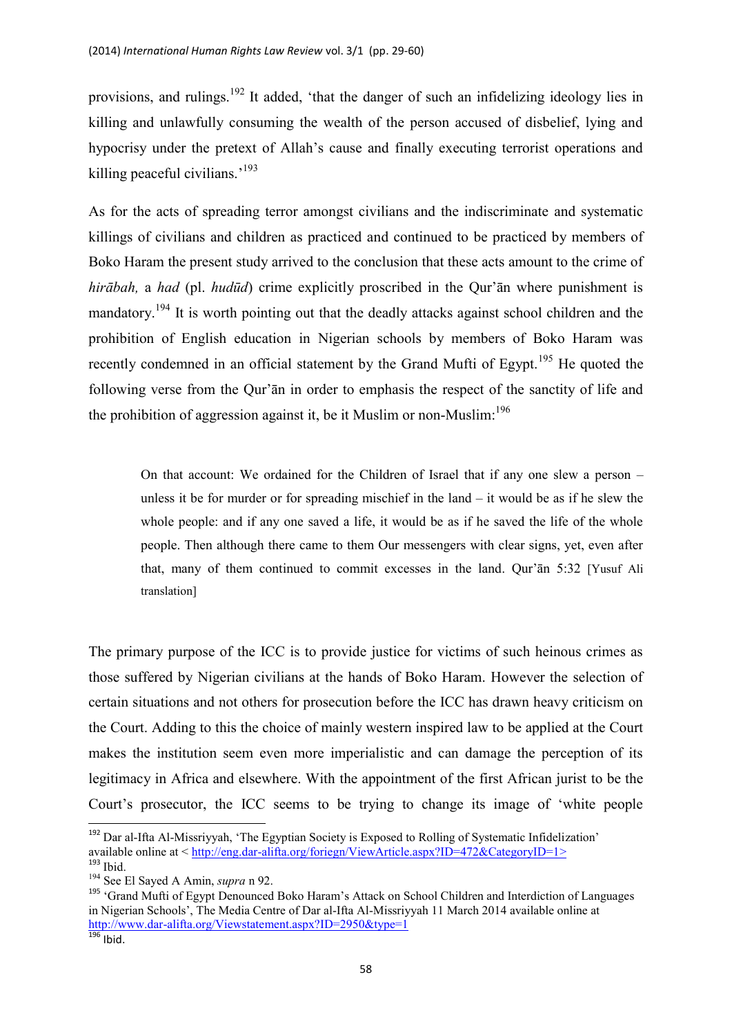provisions, and rulings.<sup>192</sup> It added, 'that the danger of such an infidelizing ideology lies in killing and unlawfully consuming the wealth of the person accused of disbelief, lying and hypocrisy under the pretext of Allah's cause and finally executing terrorist operations and killing peaceful civilians.'<sup>193</sup>

As for the acts of spreading terror amongst civilians and the indiscriminate and systematic killings of civilians and children as practiced and continued to be practiced by members of Boko Haram the present study arrived to the conclusion that these acts amount to the crime of *hirābah, a had* (pl. *hudūd*) crime explicitly proscribed in the Qur'ān where punishment is mandatory.<sup>194</sup> It is worth pointing out that the deadly attacks against school children and the prohibition of English education in Nigerian schools by members of Boko Haram was recently condemned in an official statement by the Grand Mufti of Egypt.<sup>195</sup> He quoted the following verse from the Qur'an in order to emphasis the respect of the sanctity of life and the prohibition of aggression against it, be it Muslim or non-Muslim:<sup>196</sup>

On that account: We ordained for the Children of Israel that if any one slew a person – unless it be for murder or for spreading mischief in the land – it would be as if he slew the whole people: and if any one saved a life, it would be as if he saved the life of the whole people. Then although there came to them Our messengers with clear signs, yet, even after that, many of them continued to commit excesses in the land. Qur'an 5:32 [Yusuf Ali translation]

The primary purpose of the ICC is to provide justice for victims of such heinous crimes as those suffered by Nigerian civilians at the hands of Boko Haram. However the selection of certain situations and not others for prosecution before the ICC has drawn heavy criticism on the Court. Adding to this the choice of mainly western inspired law to be applied at the Court makes the institution seem even more imperialistic and can damage the perception of its legitimacy in Africa and elsewhere. With the appointment of the first African jurist to be the Court's prosecutor, the ICC seems to be trying to change its image of 'white people

.<br>-

<sup>&</sup>lt;sup>192</sup> Dar al-Ifta Al-Missriyyah, 'The Egyptian Society is Exposed to Rolling of Systematic Infidelization' available online at < [http://eng.dar-alifta.org/foriegn/ViewArticle.aspx?ID=472&CategoryID=1>](http://eng.dar-alifta.org/foriegn/ViewArticle.aspx?ID=472&CategoryID=1)

<sup>193</sup> Ibid.

<sup>194</sup> See El Sayed A Amin, *supra* n 92.

<sup>&</sup>lt;sup>195</sup> 'Grand Mufti of Egypt Denounced Boko Haram's Attack on School Children and Interdiction of Languages in Nigerian Schools', The Media Centre of Dar al-Ifta Al-Missriyyah 11 March 2014 available online at <http://www.dar-alifta.org/Viewstatement.aspx?ID=2950&type=1>

 $\frac{196}{196}$  Ibid.